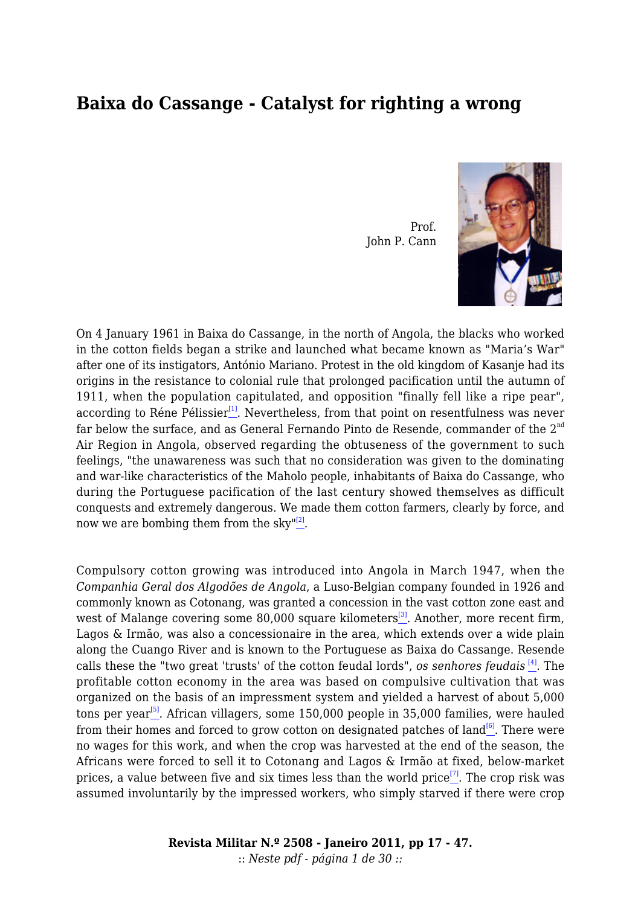# **Baixa do Cassange - Catalyst for righting a wrong**

Prof. John P. Cann



<span id="page-0-0"></span>On 4 January 1961 in Baixa do Cassange, in the north of Angola, the blacks who worked in the cotton fields began a strike and launched what became known as "Maria's War" after one of its instigators, António Mariano. Protest in the old kingdom of Kasanje had its origins in the resistance to colonial rule that prolonged pacification until the autumn of 1911, when the population capitulated, and opposition "finally fell like a ripe pear", according to Réne Pélissier $\frac{1}{2}$ . Nevertheless, from that point on resentfulness was never far below the surface, and as General Fernando Pinto de Resende, commander of the  $2<sup>nd</sup>$ Air Region in Angola, observed regarding the obtuseness of the government to such feelings, "the unawareness was such that no consideration was given to the dominating and war-like characteristics of the Maholo people, inhabitants of Baixa do Cassange, who during the Portuguese pacification of the last century showed themselves as difficult conquests and extremely dangerous. We made them cotton farmers, clearly by force, and now we are bombing them from the sky $\frac{1}{2}$ .

<span id="page-0-5"></span><span id="page-0-4"></span><span id="page-0-3"></span><span id="page-0-2"></span><span id="page-0-1"></span>Compulsory cotton growing was introduced into Angola in March 1947, when the *Companhia Geral dos Algodões de Angola*, a Luso-Belgian company founded in 1926 and commonly known as Cotonang, was granted a concession in the vast cotton zone east and west of Malange covering some  $80,000$  square kilometers<sup>[\[3\]](#page-24-2)</sup>. Another, more recent firm, Lagos & Irmão, was also a concessionaire in the area, which extends over a wide plain along the Cuango River and is known to the Portuguese as Baixa do Cassange. Resende calls these the "two great 'trusts' of the cotton feudal lords", *os senhores feudais* [\[4\]](#page-24-3). The profitable cotton economy in the area was based on compulsive cultivation that was organized on the basis of an impressment system and yielded a harvest of about 5,000 tons per year<sup>[\[5\]](#page-24-4)</sup>. African villagers, some  $150,000$  people in 35,000 families, were hauled from their homes and forced to grow cotton on designated patches of land<sup>[\[6\]](#page-24-5)</sup>. There were no wages for this work, and when the crop was harvested at the end of the season, the Africans were forced to sell it to Cotonang and Lagos & Irmão at fixed, below-market prices, a value between five and six times less than the world price<sup>[\[7\]](#page-24-6)</sup>. The crop risk was assumed involuntarily by the impressed workers, who simply starved if there were crop

> <span id="page-0-6"></span>**Revista Militar N.º 2508 - Janeiro 2011, pp 17 - 47.** :: *Neste pdf - página 1 de 30 ::*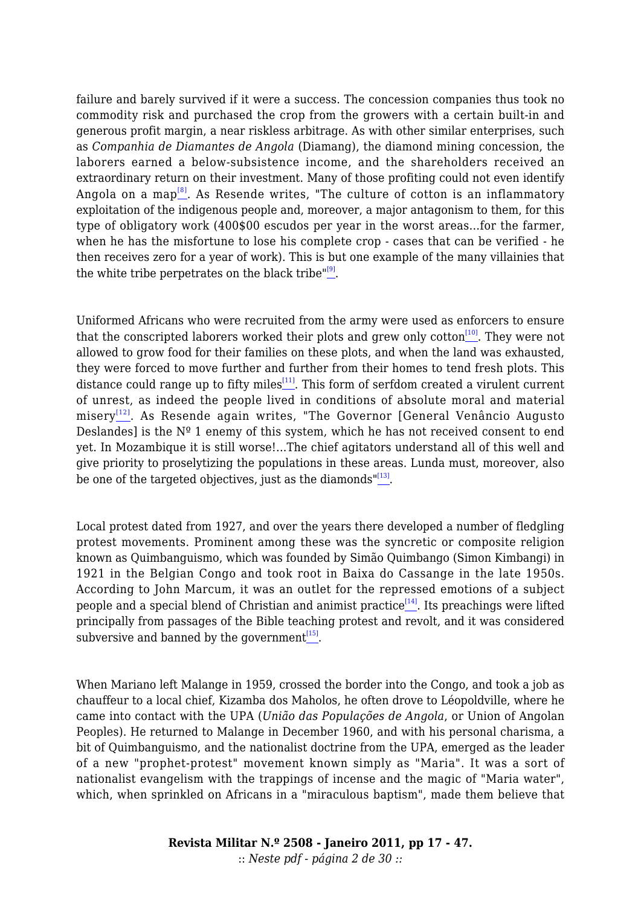<span id="page-1-0"></span>failure and barely survived if it were a success. The concession companies thus took no commodity risk and purchased the crop from the growers with a certain built-in and generous profit margin, a near riskless arbitrage. As with other similar enterprises, such as *Companhia de Diamantes de Angola* (Diamang), the diamond mining concession, the laborers earned a below-subsistence income, and the shareholders received an extraordinary return on their investment. Many of those profiting could not even identify Angola on a map<sup>[\[8\]](#page-24-7)</sup>. As Resende writes, "The culture of cotton is an inflammatory exploitation of the indigenous people and, moreover, a major antagonism to them, for this type of obligatory work (400\$00 escudos per year in the worst areas…for the farmer, when he has the misfortune to lose his complete crop - cases that can be verified - he then receives zero for a year of work). This is but one example of the many villainies that the white tribe perpetrates on the black tribe" $\Box$ .

<span id="page-1-4"></span><span id="page-1-3"></span><span id="page-1-2"></span><span id="page-1-1"></span>Uniformed Africans who were recruited from the army were used as enforcers to ensure that the conscripted laborers worked their plots and grew only cotton<sup>[\[10\]](#page-24-9)</sup>. They were not allowed to grow food for their families on these plots, and when the land was exhausted, they were forced to move further and further from their homes to tend fresh plots. This distance could range up to fifty miles<sup> $[11]$ </sup>. This form of serfdom created a virulent current of unrest, as indeed the people lived in conditions of absolute moral and material misery<sup>[\[12\]](#page-24-11)</sup>. As Resende again writes, "The Governor [General Venâncio Augusto Deslandes] is the  $N^{\circ}$  1 enemy of this system, which he has not received consent to end yet. In Mozambique it is still worse!...The chief agitators understand all of this well and give priority to proselytizing the populations in these areas. Lunda must, moreover, also be one of the targeted objectives, just as the diamonds"[\[13\]](#page-24-12).

<span id="page-1-6"></span><span id="page-1-5"></span>Local protest dated from 1927, and over the years there developed a number of fledgling protest movements. Prominent among these was the syncretic or composite religion known as Quimbanguismo, which was founded by Simão Quimbango (Simon Kimbangi) in 1921 in the Belgian Congo and took root in Baixa do Cassange in the late 1950s. According to John Marcum, it was an outlet for the repressed emotions of a subject people and a special blend of Christian and animist practice<sup>[\[14\]](#page-24-13)</sup>. Its preachings were lifted principally from passages of the Bible teaching protest and revolt, and it was considered subversive and banned by the government $15$ .

<span id="page-1-8"></span><span id="page-1-7"></span>When Mariano left Malange in 1959, crossed the border into the Congo, and took a job as chauffeur to a local chief, Kizamba dos Maholos, he often drove to Léopoldville, where he came into contact with the UPA (*União das Populações de Angola*, or Union of Angolan Peoples). He returned to Malange in December 1960, and with his personal charisma, a bit of Quimbanguismo, and the nationalist doctrine from the UPA, emerged as the leader of a new "prophet-protest" movement known simply as "Maria". It was a sort of nationalist evangelism with the trappings of incense and the magic of "Maria water", which, when sprinkled on Africans in a "miraculous baptism", made them believe that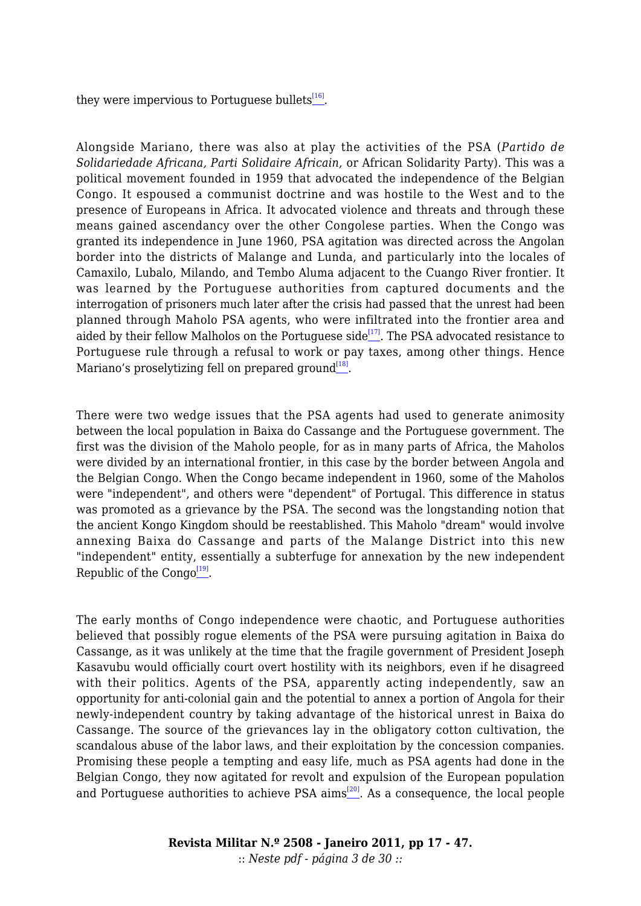they were impervious to Portuguese bullets<sup>[\[16\]](#page-25-1)</sup>.

Alongside Mariano, there was also at play the activities of the PSA (*Partido de Solidariedade Africana, Parti Solidaire Africain,* or African Solidarity Party). This was a political movement founded in 1959 that advocated the independence of the Belgian Congo. It espoused a communist doctrine and was hostile to the West and to the presence of Europeans in Africa. It advocated violence and threats and through these means gained ascendancy over the other Congolese parties. When the Congo was granted its independence in June 1960, PSA agitation was directed across the Angolan border into the districts of Malange and Lunda, and particularly into the locales of Camaxilo, Lubalo, Milando, and Tembo Aluma adjacent to the Cuango River frontier. It was learned by the Portuguese authorities from captured documents and the interrogation of prisoners much later after the crisis had passed that the unrest had been planned through Maholo PSA agents, who were infiltrated into the frontier area and aided by their fellow Malholos on the Portuguese side $[17]$ . The PSA advocated resistance to Portuguese rule through a refusal to work or pay taxes, among other things. Hence Mariano's proselytizing fell on prepared ground<sup>[\[18\]](#page-25-3)</sup>.

<span id="page-2-1"></span><span id="page-2-0"></span>There were two wedge issues that the PSA agents had used to generate animosity between the local population in Baixa do Cassange and the Portuguese government. The first was the division of the Maholo people, for as in many parts of Africa, the Maholos were divided by an international frontier, in this case by the border between Angola and the Belgian Congo. When the Congo became independent in 1960, some of the Maholos were "independent", and others were "dependent" of Portugal. This difference in status was promoted as a grievance by the PSA. The second was the longstanding notion that the ancient Kongo Kingdom should be reestablished. This Maholo "dream" would involve annexing Baixa do Cassange and parts of the Malange District into this new "independent" entity, essentially a subterfuge for annexation by the new independent Republic of the Congo $\frac{[19]}{]}$  $\frac{[19]}{]}$  $\frac{[19]}{]}$ .

<span id="page-2-2"></span>The early months of Congo independence were chaotic, and Portuguese authorities believed that possibly rogue elements of the PSA were pursuing agitation in Baixa do Cassange, as it was unlikely at the time that the fragile government of President Joseph Kasavubu would officially court overt hostility with its neighbors, even if he disagreed with their politics. Agents of the PSA, apparently acting independently, saw an opportunity for anti-colonial gain and the potential to annex a portion of Angola for their newly-independent country by taking advantage of the historical unrest in Baixa do Cassange. The source of the grievances lay in the obligatory cotton cultivation, the scandalous abuse of the labor laws, and their exploitation by the concession companies. Promising these people a tempting and easy life, much as PSA agents had done in the Belgian Congo, they now agitated for revolt and expulsion of the European population and Portuguese authorities to achieve PSA  $\dim S^{[20]}$  $\dim S^{[20]}$  $\dim S^{[20]}$ . As a consequence, the local people

> <span id="page-2-3"></span>**Revista Militar N.º 2508 - Janeiro 2011, pp 17 - 47.** :: *Neste pdf - página 3 de 30 ::*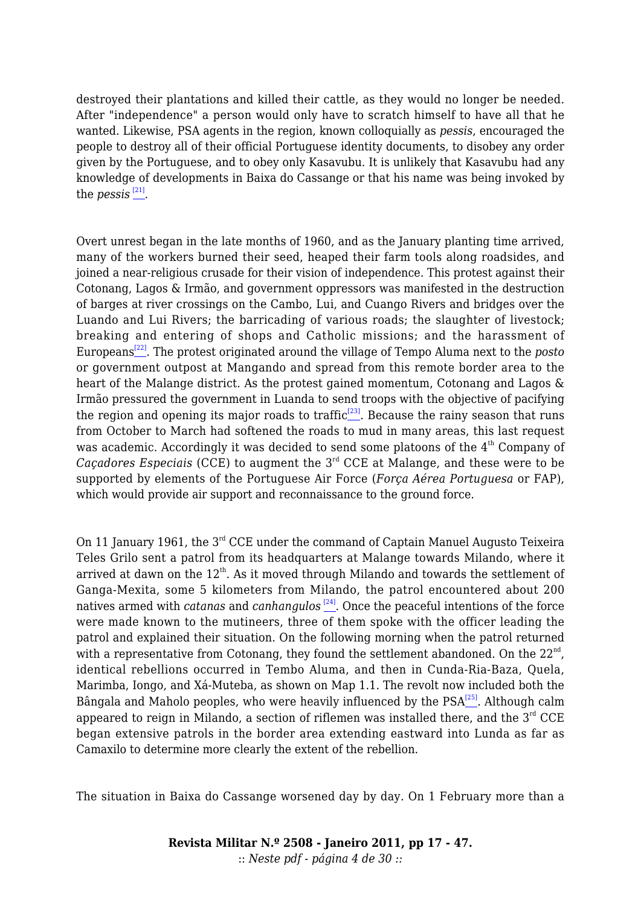destroyed their plantations and killed their cattle, as they would no longer be needed. After "independence" a person would only have to scratch himself to have all that he wanted. Likewise, PSA agents in the region, known colloquially as *pessis*, encouraged the people to destroy all of their official Portuguese identity documents, to disobey any order given by the Portuguese, and to obey only Kasavubu. It is unlikely that Kasavubu had any knowledge of developments in Baixa do Cassange or that his name was being invoked by the *pessis*  $\frac{[21]}{[21]}$  $\frac{[21]}{[21]}$  $\frac{[21]}{[21]}$ .

<span id="page-3-1"></span><span id="page-3-0"></span>Overt unrest began in the late months of 1960, and as the January planting time arrived, many of the workers burned their seed, heaped their farm tools along roadsides, and joined a near-religious crusade for their vision of independence. This protest against their Cotonang, Lagos & Irmão, and government oppressors was manifested in the destruction of barges at river crossings on the Cambo, Lui, and Cuango Rivers and bridges over the Luando and Lui Rivers; the barricading of various roads; the slaughter of livestock; breaking and entering of shops and Catholic missions; and the harassment of Europeans[\[22\]](#page-25-7). The protest originated around the village of Tempo Aluma next to the *posto* or government outpost at Mangando and spread from this remote border area to the heart of the Malange district. As the protest gained momentum, Cotonang and Lagos & Irmão pressured the government in Luanda to send troops with the objective of pacifying the region and opening its major roads to traffic<sup>[\[23\]](#page-25-8)</sup>. Because the rainy season that runs from October to March had softened the roads to mud in many areas, this last request was academic. Accordingly it was decided to send some platoons of the  $4<sup>th</sup>$  Company of *Caçadores Especiais* (CCE) to augment the 3rd CCE at Malange, and these were to be supported by elements of the Portuguese Air Force (*Força Aérea Portuguesa* or FAP), which would provide air support and reconnaissance to the ground force.

<span id="page-3-3"></span><span id="page-3-2"></span>On 11 January 1961, the  $3<sup>rd</sup>$  CCE under the command of Captain Manuel Augusto Teixeira Teles Grilo sent a patrol from its headquarters at Malange towards Milando, where it arrived at dawn on the  $12<sup>th</sup>$ . As it moved through Milando and towards the settlement of Ganga-Mexita, some 5 kilometers from Milando, the patrol encountered about 200 natives armed with *catanas* and *canhangulos*<sup>[\[24\]](#page-25-9)</sup>. Once the peaceful intentions of the force were made known to the mutineers, three of them spoke with the officer leading the patrol and explained their situation. On the following morning when the patrol returned with a representative from Cotonang, they found the settlement abandoned. On the  $22^{\text{nd}}$ , identical rebellions occurred in Tembo Aluma, and then in Cunda-Ria-Baza, Quela, Marimba, Iongo, and Xá-Muteba, as shown on Map 1.1. The revolt now included both the Bângala and Maholo peoples, who were heavily influenced by the  $PSA^{[25]}$  $PSA^{[25]}$  $PSA^{[25]}$ . Although calm appeared to reign in Milando, a section of riflemen was installed there, and the  $3<sup>rd</sup>$  CCE began extensive patrols in the border area extending eastward into Lunda as far as Camaxilo to determine more clearly the extent of the rebellion.

<span id="page-3-4"></span>The situation in Baixa do Cassange worsened day by day. On 1 February more than a

**Revista Militar N.º 2508 - Janeiro 2011, pp 17 - 47.** :: *Neste pdf - página 4 de 30 ::*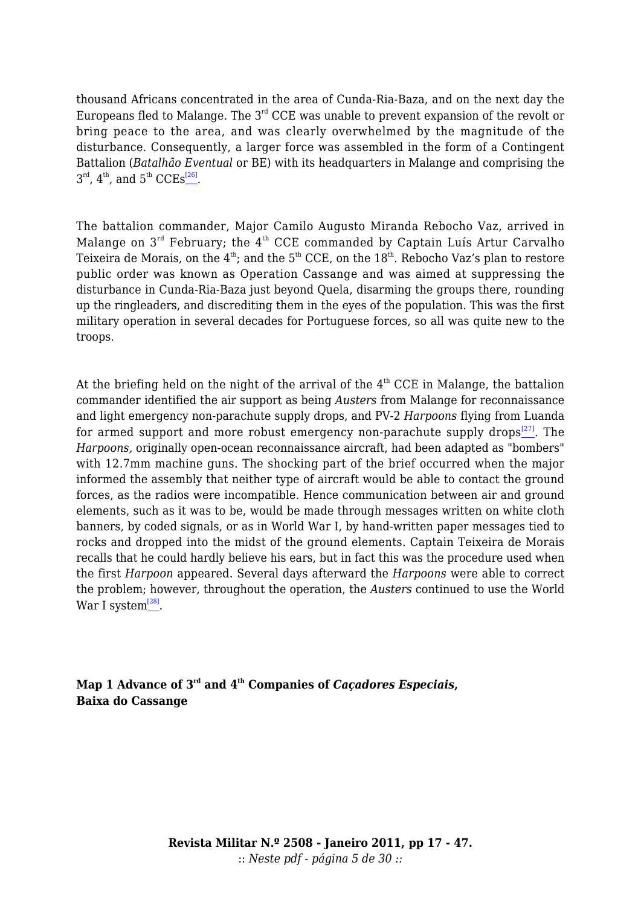thousand Africans concentrated in the area of Cunda-Ria-Baza, and on the next day the Europeans fled to Malange. The  $3<sup>rd</sup>$  CCE was unable to prevent expansion of the revolt or bring peace to the area, and was clearly overwhelmed by the magnitude of the disturbance. Consequently, a larger force was assembled in the form of a Contingent Battalion (*Batalhão Eventual* or BE) with its headquarters in Malange and comprising the  $3^{\text{rd}}$ ,  $4^{\text{th}}$ , and  $5^{\text{th}}$  CCEs $\frac{[26]}{]}$  $\frac{[26]}{]}$  $\frac{[26]}{]}$ .

<span id="page-4-0"></span>The battalion commander, Major Camilo Augusto Miranda Rebocho Vaz, arrived in Malange on  $3^{rd}$  February; the  $4^{th}$  CCE commanded by Captain Luís Artur Carvalho Teixeira de Morais, on the  $4<sup>th</sup>$ ; and the  $5<sup>th</sup>$  CCE, on the  $18<sup>th</sup>$ . Rebocho Vaz's plan to restore public order was known as Operation Cassange and was aimed at suppressing the disturbance in Cunda-Ria-Baza just beyond Quela, disarming the groups there, rounding up the ringleaders, and discrediting them in the eyes of the population. This was the first military operation in several decades for Portuguese forces, so all was quite new to the troops.

<span id="page-4-1"></span>At the briefing held on the night of the arrival of the  $4<sup>th</sup>$  CCE in Malange, the battalion commander identified the air support as being *Austers* from Malange for reconnaissance and light emergency non-parachute supply drops, and PV-2 *Harpoons* flying from Luanda for armed support and more robust emergency non-parachute supply drops<sup>[\[27\]](#page-25-12)</sup>. The *Harpoons,* originally open-ocean reconnaissance aircraft, had been adapted as "bombers" with 12.7mm machine guns. The shocking part of the brief occurred when the major informed the assembly that neither type of aircraft would be able to contact the ground forces, as the radios were incompatible. Hence communication between air and ground elements, such as it was to be, would be made through messages written on white cloth banners, by coded signals, or as in World War I, by hand-written paper messages tied to rocks and dropped into the midst of the ground elements. Captain Teixeira de Morais recalls that he could hardly believe his ears, but in fact this was the procedure used when the first *Harpoon* appeared. Several days afterward the *Harpoons* were able to correct the problem; however, throughout the operation, the *Austers* continued to use the World War I system<sup>[\[28\]](#page-25-13)</sup>.

<span id="page-4-2"></span>**Map 1 Advance of 3rd and 4th Companies of** *Caçadores Especiais***, Baixa do Cassange**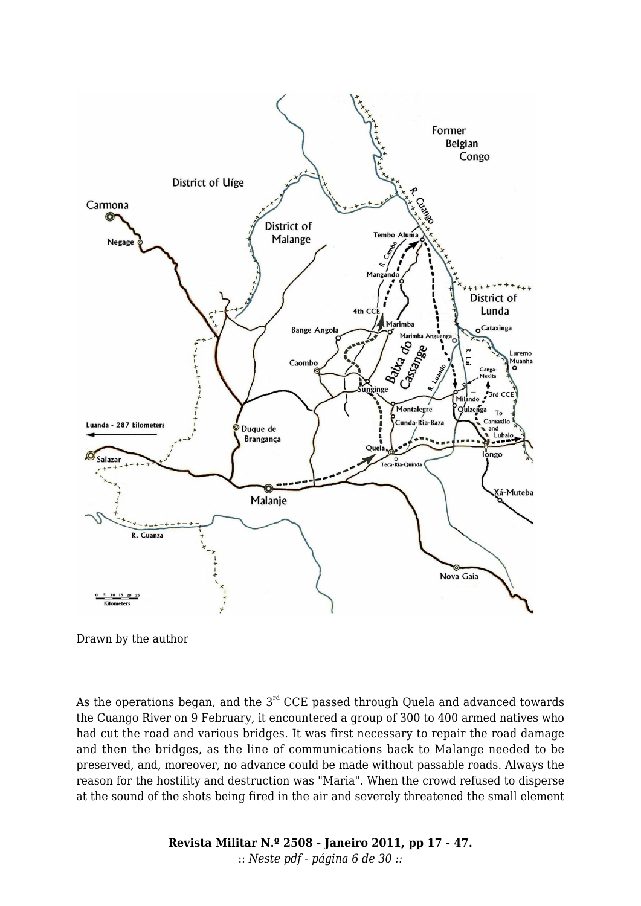

Drawn by the author

As the operations began, and the  $3<sup>rd</sup>$  CCE passed through Quela and advanced towards the Cuango River on 9 February, it encountered a group of 300 to 400 armed natives who had cut the road and various bridges. It was first necessary to repair the road damage and then the bridges, as the line of communications back to Malange needed to be preserved, and, moreover, no advance could be made without passable roads. Always the reason for the hostility and destruction was "Maria". When the crowd refused to disperse at the sound of the shots being fired in the air and severely threatened the small element

> **Revista Militar N.º 2508 - Janeiro 2011, pp 17 - 47.** :: *Neste pdf - página 6 de 30 ::*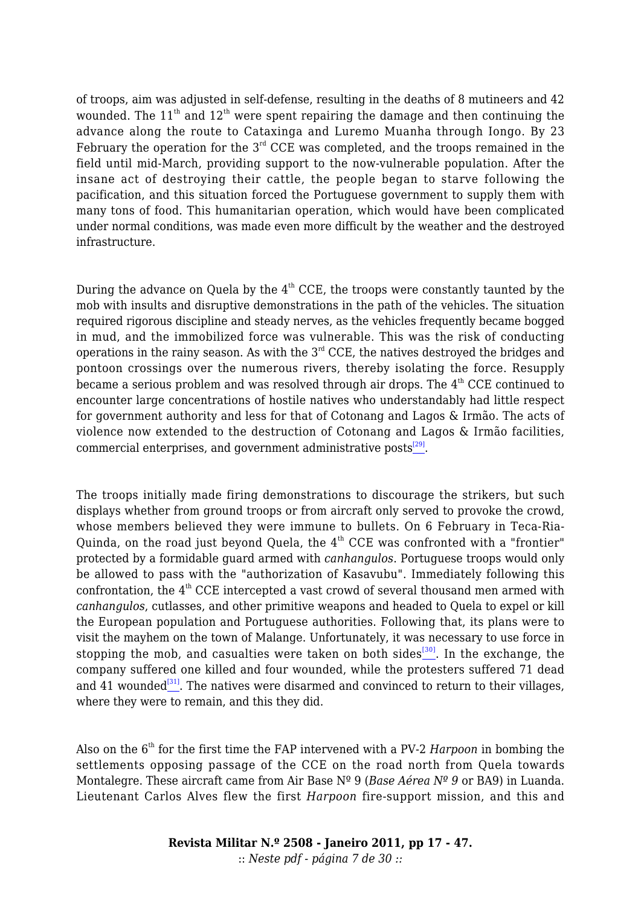of troops, aim was adjusted in self-defense, resulting in the deaths of 8 mutineers and 42 wounded. The  $11<sup>th</sup>$  and  $12<sup>th</sup>$  were spent repairing the damage and then continuing the advance along the route to Cataxinga and Luremo Muanha through Iongo. By 23 February the operation for the  $3<sup>rd</sup>$  CCE was completed, and the troops remained in the field until mid-March, providing support to the now-vulnerable population. After the insane act of destroying their cattle, the people began to starve following the pacification, and this situation forced the Portuguese government to supply them with many tons of food. This humanitarian operation, which would have been complicated under normal conditions, was made even more difficult by the weather and the destroyed infrastructure.

During the advance on Quela by the  $4<sup>th</sup> CCE$ , the troops were constantly taunted by the mob with insults and disruptive demonstrations in the path of the vehicles. The situation required rigorous discipline and steady nerves, as the vehicles frequently became bogged in mud, and the immobilized force was vulnerable. This was the risk of conducting operations in the rainy season. As with the  $3<sup>rd</sup>$  CCE, the natives destroyed the bridges and pontoon crossings over the numerous rivers, thereby isolating the force. Resupply became a serious problem and was resolved through air drops. The  $4<sup>th</sup> CCE$  continued to encounter large concentrations of hostile natives who understandably had little respect for government authority and less for that of Cotonang and Lagos & Irmão. The acts of violence now extended to the destruction of Cotonang and Lagos & Irmão facilities, commercial enterprises, and government administrative posts<sup>[\[29\]](#page-25-14)</sup>.

<span id="page-6-0"></span>The troops initially made firing demonstrations to discourage the strikers, but such displays whether from ground troops or from aircraft only served to provoke the crowd, whose members believed they were immune to bullets. On 6 February in Teca-Ria-Quinda, on the road just beyond Quela, the  $4<sup>th</sup>$  CCE was confronted with a "frontier" protected by a formidable guard armed with *canhangulos*. Portuguese troops would only be allowed to pass with the "authorization of Kasavubu". Immediately following this confrontation, the  $4<sup>th</sup> CCE$  intercepted a vast crowd of several thousand men armed with *canhangulos*, cutlasses, and other primitive weapons and headed to Quela to expel or kill the European population and Portuguese authorities. Following that, its plans were to visit the mayhem on the town of Malange. Unfortunately, it was necessary to use force in stopping the mob, and casualties were taken on both sides<sup>[\[30\]](#page-25-15)</sup>. In the exchange, the company suffered one killed and four wounded, while the protesters suffered 71 dead and 41 wounded<sup>[\[31\]](#page-25-16)</sup>. The natives were disarmed and convinced to return to their villages, where they were to remain, and this they did.

<span id="page-6-2"></span><span id="page-6-1"></span>Also on the  $6<sup>th</sup>$  for the first time the FAP intervened with a PV-2 *Harpoon* in bombing the settlements opposing passage of the CCE on the road north from Quela towards Montalegre. These aircraft came from Air Base Nº 9 (*Base Aérea Nº 9* or BA9) in Luanda. Lieutenant Carlos Alves flew the first *Harpoon* fire-support mission, and this and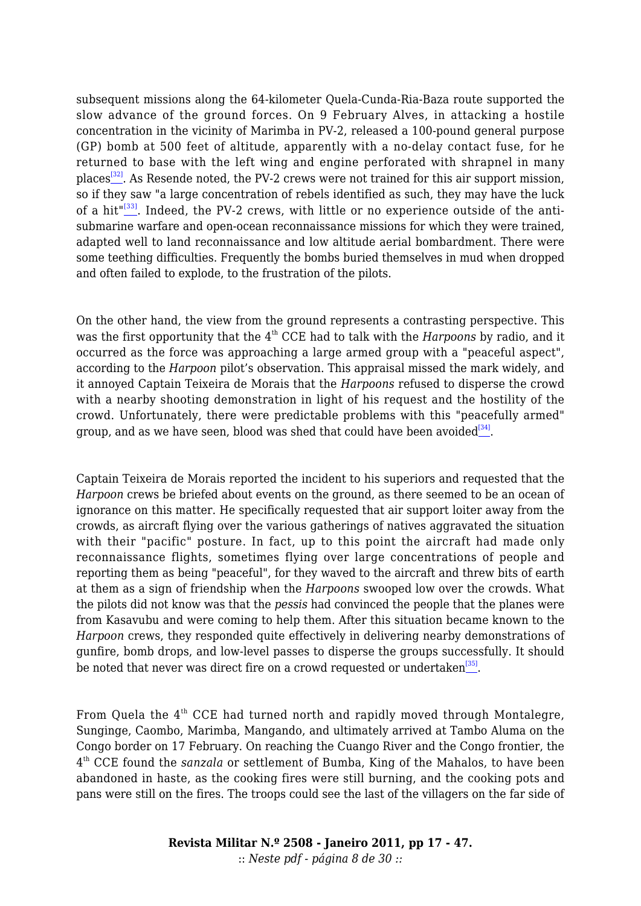<span id="page-7-1"></span><span id="page-7-0"></span>subsequent missions along the 64-kilometer Quela-Cunda-Ria-Baza route supported the slow advance of the ground forces. On 9 February Alves, in attacking a hostile concentration in the vicinity of Marimba in PV-2, released a 100-pound general purpose (GP) bomb at 500 feet of altitude, apparently with a no-delay contact fuse, for he returned to base with the left wing and engine perforated with shrapnel in many places<sup>[\[32\]](#page-25-17)</sup>. As Resende noted, the PV-2 crews were not trained for this air support mission, so if they saw "a large concentration of rebels identified as such, they may have the luck of a hit<sup>"[\[33\]](#page-25-18)</sup>. Indeed, the PV-2 crews, with little or no experience outside of the antisubmarine warfare and open-ocean reconnaissance missions for which they were trained, adapted well to land reconnaissance and low altitude aerial bombardment. There were some teething difficulties. Frequently the bombs buried themselves in mud when dropped and often failed to explode, to the frustration of the pilots.

On the other hand, the view from the ground represents a contrasting perspective. This was the first opportunity that the 4<sup>th</sup> CCE had to talk with the *Harpoons* by radio, and it occurred as the force was approaching a large armed group with a "peaceful aspect", according to the *Harpoon* pilot's observation. This appraisal missed the mark widely, and it annoyed Captain Teixeira de Morais that the *Harpoons* refused to disperse the crowd with a nearby shooting demonstration in light of his request and the hostility of the crowd. Unfortunately, there were predictable problems with this "peacefully armed" group, and as we have seen, blood was shed that could have been avoided $[34]$ .

<span id="page-7-2"></span>Captain Teixeira de Morais reported the incident to his superiors and requested that the *Harpoon* crews be briefed about events on the ground, as there seemed to be an ocean of ignorance on this matter. He specifically requested that air support loiter away from the crowds, as aircraft flying over the various gatherings of natives aggravated the situation with their "pacific" posture. In fact, up to this point the aircraft had made only reconnaissance flights, sometimes flying over large concentrations of people and reporting them as being "peaceful", for they waved to the aircraft and threw bits of earth at them as a sign of friendship when the *Harpoons* swooped low over the crowds. What the pilots did not know was that the *pessis* had convinced the people that the planes were from Kasavubu and were coming to help them. After this situation became known to the *Harpoon* crews, they responded quite effectively in delivering nearby demonstrations of gunfire, bomb drops, and low-level passes to disperse the groups successfully. It should be noted that never was direct fire on a crowd requested or undertaken $^{\text{[35]}}$  $^{\text{[35]}}$  $^{\text{[35]}}$ .

<span id="page-7-3"></span>From Quela the  $4<sup>th</sup>$  CCE had turned north and rapidly moved through Montalegre, Sunginge, Caombo, Marimba, Mangando, and ultimately arrived at Tambo Aluma on the Congo border on 17 February. On reaching the Cuango River and the Congo frontier, the 4 th CCE found the *sanzala* or settlement of Bumba, King of the Mahalos, to have been abandoned in haste, as the cooking fires were still burning, and the cooking pots and pans were still on the fires. The troops could see the last of the villagers on the far side of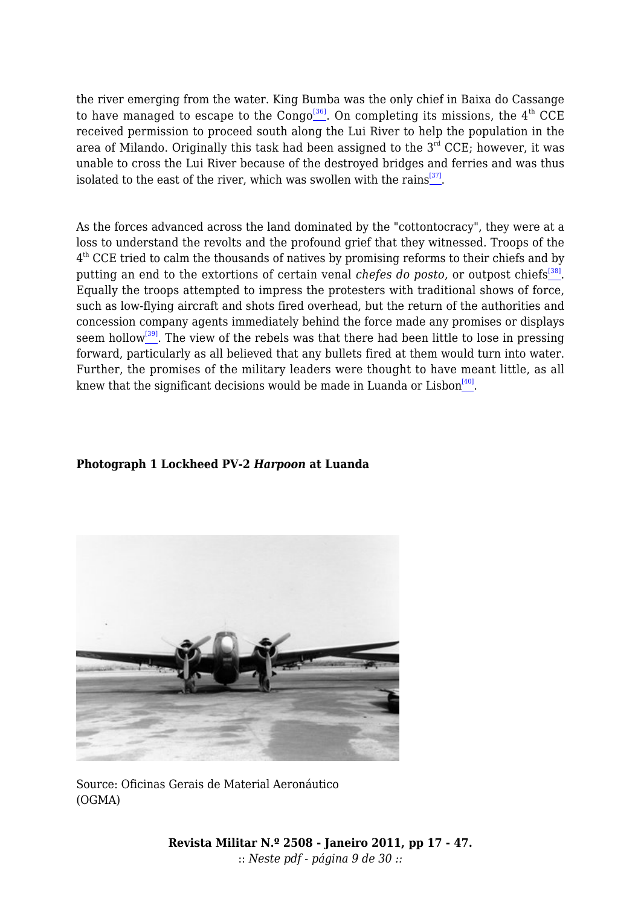<span id="page-8-0"></span>the river emerging from the water. King Bumba was the only chief in Baixa do Cassange to have managed to escape to the Congo<sup>[\[36\]](#page-25-21)</sup>. On completing its missions, the 4<sup>th</sup> CCE received permission to proceed south along the Lui River to help the population in the area of Milando. Originally this task had been assigned to the  $3<sup>rd</sup>$  CCE; however, it was unable to cross the Lui River because of the destroyed bridges and ferries and was thus isolated to the east of the river, which was swollen with the rains $^{[37]}$  $^{[37]}$  $^{[37]}$ .

<span id="page-8-3"></span><span id="page-8-2"></span><span id="page-8-1"></span>As the forces advanced across the land dominated by the "cottontocracy", they were at a loss to understand the revolts and the profound grief that they witnessed. Troops of the  $4<sup>th</sup> CCE$  tried to calm the thousands of natives by promising reforms to their chiefs and by putting an end to the extortions of certain venal *chefes do posto,* or outpost chiefs<sup>[\[38\]](#page-25-23)</sup>. Equally the troops attempted to impress the protesters with traditional shows of force, such as low-flying aircraft and shots fired overhead, but the return of the authorities and concession company agents immediately behind the force made any promises or displays seem hollow<sup>[\[39\]](#page-26-0)</sup>. The view of the rebels was that there had been little to lose in pressing forward, particularly as all believed that any bullets fired at them would turn into water. Further, the promises of the military leaders were thought to have meant little, as all knew that the significant decisions would be made in Luanda or Lisbon $\stackrel{[40]}{\ldots}$  $\stackrel{[40]}{\ldots}$  $\stackrel{[40]}{\ldots}$ .

## <span id="page-8-4"></span>**Photograph 1 Lockheed PV-2** *Harpoon* **at Luanda**



Source: Oficinas Gerais de Material Aeronáutico (OGMA)

> **Revista Militar N.º 2508 - Janeiro 2011, pp 17 - 47.** :: *Neste pdf - página 9 de 30 ::*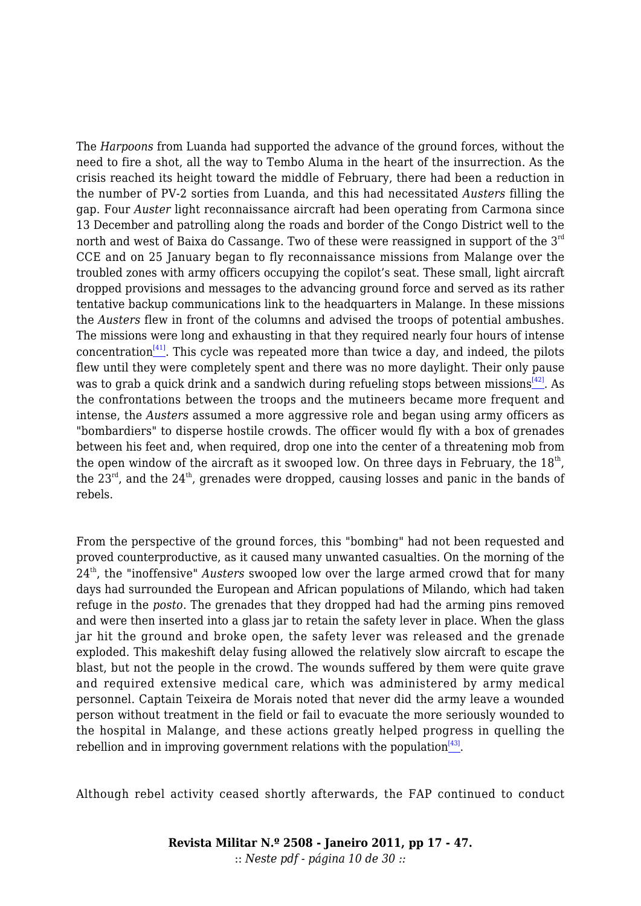The *Harpoons* from Luanda had supported the advance of the ground forces, without the need to fire a shot, all the way to Tembo Aluma in the heart of the insurrection. As the crisis reached its height toward the middle of February, there had been a reduction in the number of PV-2 sorties from Luanda, and this had necessitated *Austers* filling the gap. Four *Auster* light reconnaissance aircraft had been operating from Carmona since 13 December and patrolling along the roads and border of the Congo District well to the north and west of Baixa do Cassange. Two of these were reassigned in support of the  $3<sup>rd</sup>$ CCE and on 25 January began to fly reconnaissance missions from Malange over the troubled zones with army officers occupying the copilot's seat. These small, light aircraft dropped provisions and messages to the advancing ground force and served as its rather tentative backup communications link to the headquarters in Malange. In these missions the *Austers* flew in front of the columns and advised the troops of potential ambushes. The missions were long and exhausting in that they required nearly four hours of intense concentration<sup>[\[41\]](#page-26-2)</sup>. This cycle was repeated more than twice a day, and indeed, the pilots flew until they were completely spent and there was no more daylight. Their only pause was to grab a quick drink and a sandwich during refueling stops between missions<sup>[\[42\]](#page-26-3)</sup>. As the confrontations between the troops and the mutineers became more frequent and intense, the *Austers* assumed a more aggressive role and began using army officers as "bombardiers" to disperse hostile crowds. The officer would fly with a box of grenades between his feet and, when required, drop one into the center of a threatening mob from the open window of the aircraft as it swooped low. On three days in February, the  $18<sup>th</sup>$ , the  $23<sup>rd</sup>$ , and the  $24<sup>th</sup>$ , grenades were dropped, causing losses and panic in the bands of rebels.

<span id="page-9-1"></span><span id="page-9-0"></span>From the perspective of the ground forces, this "bombing" had not been requested and proved counterproductive, as it caused many unwanted casualties. On the morning of the 24th, the "inoffensive" *Austers* swooped low over the large armed crowd that for many days had surrounded the European and African populations of Milando, which had taken refuge in the *posto*. The grenades that they dropped had had the arming pins removed and were then inserted into a glass jar to retain the safety lever in place. When the glass jar hit the ground and broke open, the safety lever was released and the grenade exploded. This makeshift delay fusing allowed the relatively slow aircraft to escape the blast, but not the people in the crowd. The wounds suffered by them were quite grave and required extensive medical care, which was administered by army medical personnel. Captain Teixeira de Morais noted that never did the army leave a wounded person without treatment in the field or fail to evacuate the more seriously wounded to the hospital in Malange, and these actions greatly helped progress in quelling the rebellion and in improving government relations with the population<sup>[\[43\]](#page-26-4)</sup>.

<span id="page-9-3"></span><span id="page-9-2"></span>Although rebel activity ceased shortly afterwards, the FAP continued to conduct

**Revista Militar N.º 2508 - Janeiro 2011, pp 17 - 47.** :: *Neste pdf - página 10 de 30 ::*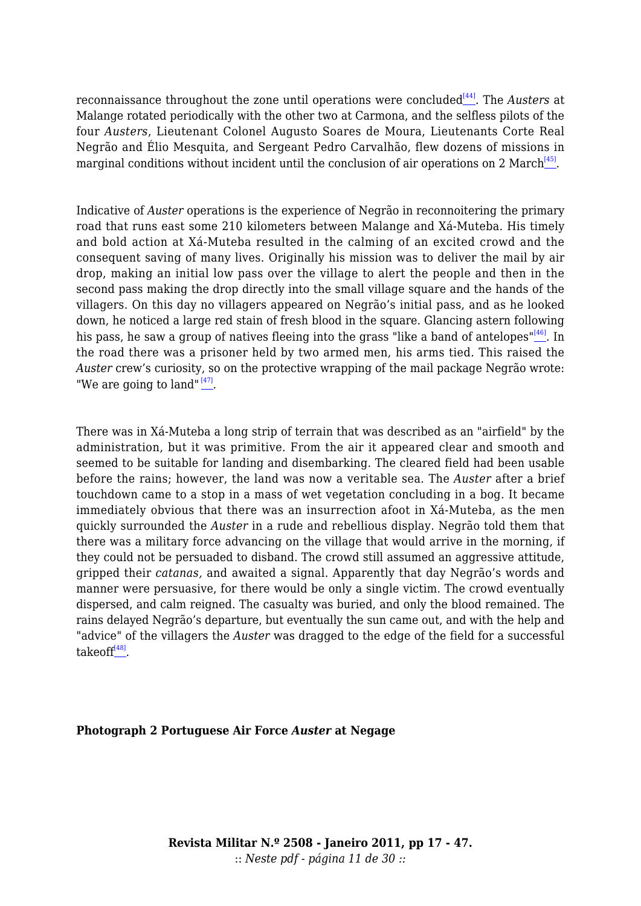reconnaissance throughout the zone until operations were concluded<sup>[\[44\]](#page-26-5)</sup>. The *Austers* at Malange rotated periodically with the other two at Carmona, and the selfless pilots of the four *Austers*, Lieutenant Colonel Augusto Soares de Moura, Lieutenants Corte Real Negrão and Élio Mesquita, and Sergeant Pedro Carvalhão, flew dozens of missions in marginal conditions without incident until the conclusion of air operations on 2 March<sup>[\[45\]](#page-26-6)</sup>.

<span id="page-10-0"></span>Indicative of *Auster* operations is the experience of Negrão in reconnoitering the primary road that runs east some 210 kilometers between Malange and Xá-Muteba. His timely and bold action at Xá-Muteba resulted in the calming of an excited crowd and the consequent saving of many lives. Originally his mission was to deliver the mail by air drop, making an initial low pass over the village to alert the people and then in the second pass making the drop directly into the small village square and the hands of the villagers. On this day no villagers appeared on Negrão's initial pass, and as he looked down, he noticed a large red stain of fresh blood in the square. Glancing astern following his pass, he saw a group of natives fleeing into the grass "like a band of antelopes"<sup>[\[46\]](#page-26-7)</sup>. In the road there was a prisoner held by two armed men, his arms tied. This raised the *Auster* crew's curiosity, so on the protective wrapping of the mail package Negrão wrote: "We are going to land" $\underline{^{[47]}}$  $\underline{^{[47]}}$  $\underline{^{[47]}}$ .

<span id="page-10-2"></span><span id="page-10-1"></span>There was in Xá-Muteba a long strip of terrain that was described as an "airfield" by the administration, but it was primitive. From the air it appeared clear and smooth and seemed to be suitable for landing and disembarking. The cleared field had been usable before the rains; however, the land was now a veritable sea. The *Auster* after a brief touchdown came to a stop in a mass of wet vegetation concluding in a bog. It became immediately obvious that there was an insurrection afoot in Xá-Muteba, as the men quickly surrounded the *Auster* in a rude and rebellious display. Negrão told them that there was a military force advancing on the village that would arrive in the morning, if they could not be persuaded to disband. The crowd still assumed an aggressive attitude, gripped their *catanas,* and awaited a signal. Apparently that day Negrão's words and manner were persuasive, for there would be only a single victim. The crowd eventually dispersed, and calm reigned. The casualty was buried, and only the blood remained. The rains delayed Negrão's departure, but eventually the sun came out, and with the help and "advice" of the villagers the *Auster* was dragged to the edge of the field for a successful takeoff<sup>[\[48\]](#page-26-9)</sup>.

## <span id="page-10-3"></span>**Photograph 2 Portuguese Air Force** *Auster* **at Negage**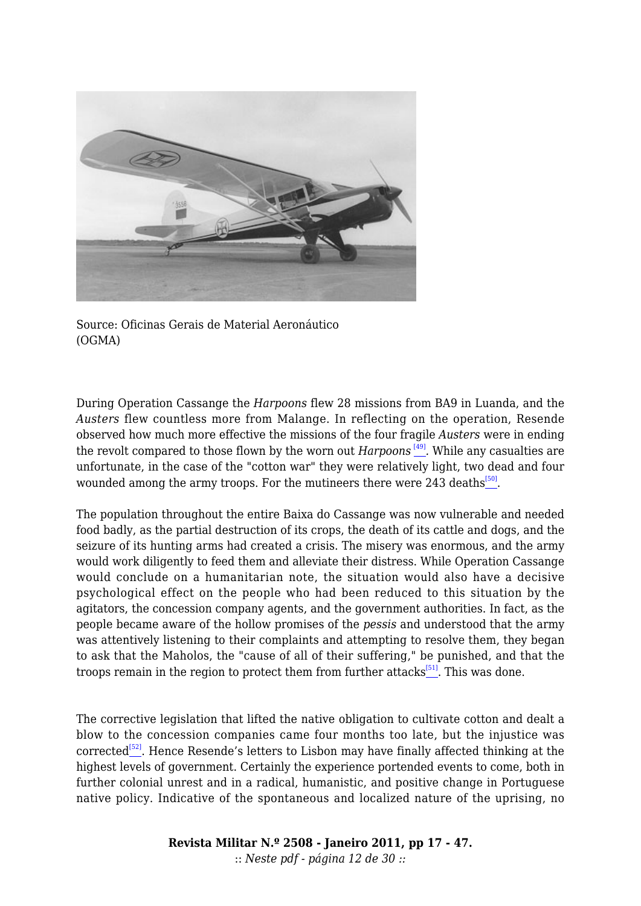

Source: Oficinas Gerais de Material Aeronáutico (OGMA)

<span id="page-11-0"></span>During Operation Cassange the *Harpoons* flew 28 missions from BA9 in Luanda, and the *Austers* flew countless more from Malange. In reflecting on the operation, Resende observed how much more effective the missions of the four fragile *Austers* were in ending the revolt compared to those flown by the worn out *Harpoons*<sup>[\[49\]](#page-26-10)</sup>. While any casualties are unfortunate, in the case of the "cotton war" they were relatively light, two dead and four wounded among the army troops. For the mutineers there were 243 deaths $^{[50]}$  $^{[50]}$  $^{[50]}$ .

<span id="page-11-1"></span>The population throughout the entire Baixa do Cassange was now vulnerable and needed food badly, as the partial destruction of its crops, the death of its cattle and dogs, and the seizure of its hunting arms had created a crisis. The misery was enormous, and the army would work diligently to feed them and alleviate their distress. While Operation Cassange would conclude on a humanitarian note, the situation would also have a decisive psychological effect on the people who had been reduced to this situation by the agitators, the concession company agents, and the government authorities. In fact, as the people became aware of the hollow promises of the *pessis* and understood that the army was attentively listening to their complaints and attempting to resolve them, they began to ask that the Maholos, the "cause of all of their suffering," be punished, and that the troops remain in the region to protect them from further attacks<sup>[\[51\]](#page-27-0)</sup>. This was done.

<span id="page-11-3"></span><span id="page-11-2"></span>The corrective legislation that lifted the native obligation to cultivate cotton and dealt a blow to the concession companies came four months too late, but the injustice was corrected<sup>[\[52\]](#page-27-1)</sup>. Hence Resende's letters to Lisbon may have finally affected thinking at the highest levels of government. Certainly the experience portended events to come, both in further colonial unrest and in a radical, humanistic, and positive change in Portuguese native policy. Indicative of the spontaneous and localized nature of the uprising, no

> **Revista Militar N.º 2508 - Janeiro 2011, pp 17 - 47.** :: *Neste pdf - página 12 de 30 ::*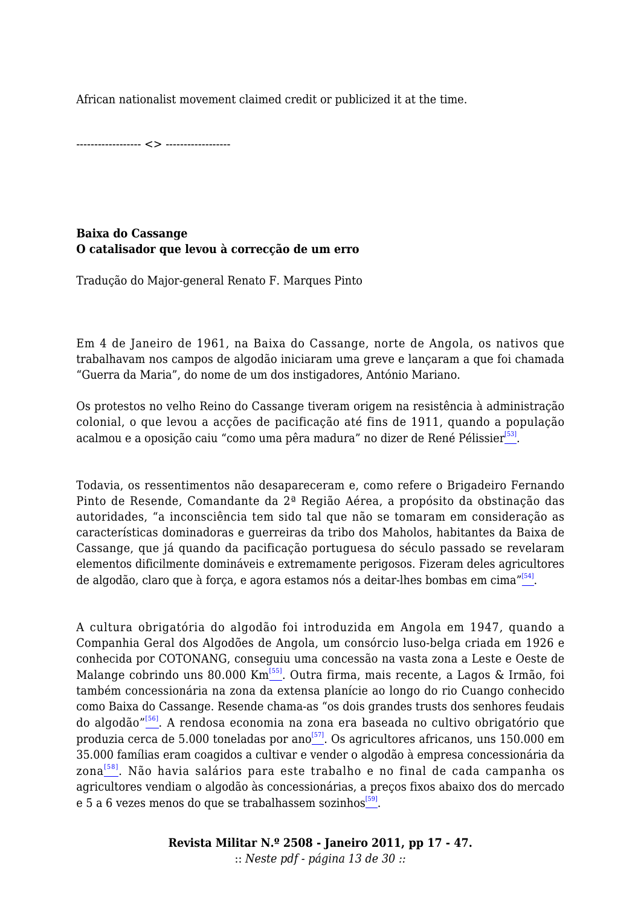African nationalist movement claimed credit or publicized it at the time.

------------------ <> ------------------

## **Baixa do Cassange O catalisador que levou à correcção de um erro**

Tradução do Major-general Renato F. Marques Pinto

Em 4 de Janeiro de 1961, na Baixa do Cassange, norte de Angola, os nativos que trabalhavam nos campos de algodão iniciaram uma greve e lançaram a que foi chamada "Guerra da Maria", do nome de um dos instigadores, António Mariano.

Os protestos no velho Reino do Cassange tiveram origem na resistência à administração colonial, o que levou a acções de pacificação até fins de 1911, quando a população acalmou e a oposição caiu "como uma pêra madura" no dizer de René Pélissier $\stackrel{[53]}{=}.$  $\stackrel{[53]}{=}.$  $\stackrel{[53]}{=}.$ 

Todavia, os ressentimentos não desapareceram e, como refere o Brigadeiro Fernando Pinto de Resende, Comandante da 2ª Região Aérea, a propósito da obstinação das autoridades, "a inconsciência tem sido tal que não se tomaram em consideração as características dominadoras e guerreiras da tribo dos Maholos, habitantes da Baixa de Cassange, que já quando da pacificação portuguesa do século passado se revelaram elementos dificilmente domináveis e extremamente perigosos. Fizeram deles agricultores de algodão, claro que à força, e agora estamos nós a deitar-lhes bombas em cima"[\[54\]](#page--1-0).

A cultura obrigatória do algodão foi introduzida em Angola em 1947, quando a Companhia Geral dos Algodões de Angola, um consórcio luso-belga criada em 1926 e conhecida por COTONANG, conseguiu uma concessão na vasta zona a Leste e Oeste de Malange cobrindo uns 80.000 Km<sup>[\[55\]](#page--1-0)</sup>. Outra firma, mais recente, a Lagos & Irmão, foi também concessionária na zona da extensa planície ao longo do rio Cuango conhecido como Baixa do Cassange. Resende chama-as "os dois grandes trusts dos senhores feudais do algodão"[\[56\]](#page--1-0). A rendosa economia na zona era baseada no cultivo obrigatório que produzia cerca de 5.000 toneladas por ano<sup>[\[57\]](#page--1-0)</sup>. Os agricultores africanos, uns 150.000 em 35.000 famílias eram coagidos a cultivar e vender o algodão à empresa concessionária da zona<sup>[\[58\]](#page--1-0)</sup>. Não havia salários para este trabalho e no final de cada campanha os agricultores vendiam o algodão às concessionárias, a preços fixos abaixo dos do mercado e 5 a 6 vezes menos do que se trabalhassem sozinhos<sup>[\[59\]](#page--1-0)</sup>.

> **Revista Militar N.º 2508 - Janeiro 2011, pp 17 - 47.** :: *Neste pdf - página 13 de 30 ::*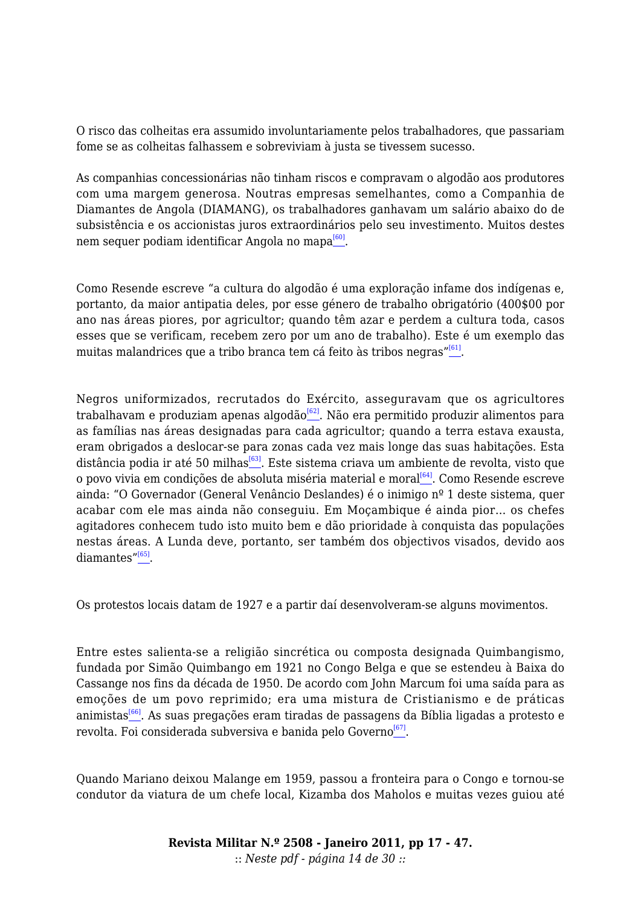O risco das colheitas era assumido involuntariamente pelos trabalhadores, que passariam fome se as colheitas falhassem e sobreviviam à justa se tivessem sucesso.

As companhias concessionárias não tinham riscos e compravam o algodão aos produtores com uma margem generosa. Noutras empresas semelhantes, como a Companhia de Diamantes de Angola (DIAMANG), os trabalhadores ganhavam um salário abaixo do de subsistência e os accionistas juros extraordinários pelo seu investimento. Muitos destes nem sequer podiam identificar Angola no mapa $^{[60]}$  $^{[60]}$  $^{[60]}$ .

Como Resende escreve "a cultura do algodão é uma exploração infame dos indígenas e, portanto, da maior antipatia deles, por esse género de trabalho obrigatório (400\$00 por ano nas áreas piores, por agricultor; quando têm azar e perdem a cultura toda, casos esses que se verificam, recebem zero por um ano de trabalho). Este é um exemplo das muitas malandrices que a tribo branca tem cá feito às tribos negras"[\[61\]](#page--1-0).

<span id="page-13-2"></span><span id="page-13-1"></span><span id="page-13-0"></span>Negros uniformizados, recrutados do Exército, asseguravam que os agricultores trabalhavam e produziam apenas algodão<sup>[\[62\]](#page-27-2)</sup>. Não era permitido produzir alimentos para as famílias nas áreas designadas para cada agricultor; quando a terra estava exausta, eram obrigados a deslocar-se para zonas cada vez mais longe das suas habitações. Esta distância podia ir até 50 milhas<sup>[\[63\]](#page-27-3)</sup>. Este sistema criava um ambiente de revolta, visto que o povo vivia em condições de absoluta miséria material e moral<sup>[\[64\]](#page-27-4)</sup>. Como Resende escreve ainda: "O Governador (General Venâncio Deslandes) é o inimigo nº 1 deste sistema, quer acabar com ele mas ainda não conseguiu. Em Moçambique é ainda pior… os chefes agitadores conhecem tudo isto muito bem e dão prioridade à conquista das populações nestas áreas. A Lunda deve, portanto, ser também dos objectivos visados, devido aos diamantes"[\[65\]](#page-27-5).

<span id="page-13-3"></span>Os protestos locais datam de 1927 e a partir daí desenvolveram-se alguns movimentos.

<span id="page-13-4"></span>Entre estes salienta-se a religião sincrética ou composta designada Quimbangismo, fundada por Simão Quimbango em 1921 no Congo Belga e que se estendeu à Baixa do Cassange nos fins da década de 1950. De acordo com John Marcum foi uma saída para as emoções de um povo reprimido; era uma mistura de Cristianismo e de práticas animistas<sup>[\[66\]](#page-27-6)</sup>. As suas pregações eram tiradas de passagens da Bíblia ligadas a protesto e revolta. Foi considerada subversiva e banida pelo Governo $^{\text{\tiny{[67]}}}.$  $^{\text{\tiny{[67]}}}.$  $^{\text{\tiny{[67]}}}.$ 

<span id="page-13-5"></span>Quando Mariano deixou Malange em 1959, passou a fronteira para o Congo e tornou-se condutor da viatura de um chefe local, Kizamba dos Maholos e muitas vezes guiou até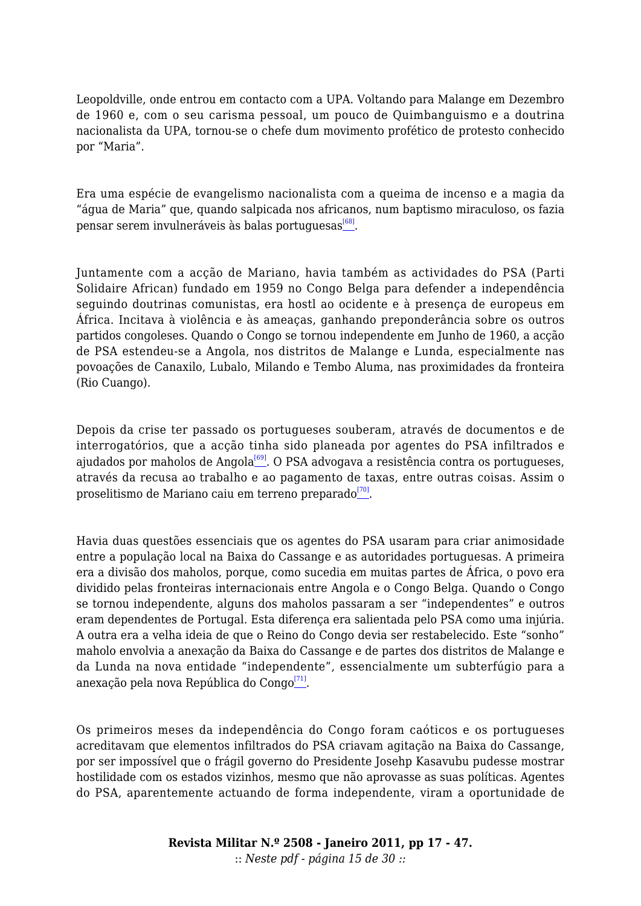Leopoldville, onde entrou em contacto com a UPA. Voltando para Malange em Dezembro de 1960 e, com o seu carisma pessoal, um pouco de Quimbanguismo e a doutrina nacionalista da UPA, tornou-se o chefe dum movimento profético de protesto conhecido por "Maria".

<span id="page-14-0"></span>Era uma espécie de evangelismo nacionalista com a queima de incenso e a magia da "água de Maria" que, quando salpicada nos africanos, num baptismo miraculoso, os fazia pensar serem invulneráveis às balas portuguesas $^{\text{\tiny{[68]}}}_{\text{\tiny{-}}}$  $^{\text{\tiny{[68]}}}_{\text{\tiny{-}}}$  $^{\text{\tiny{[68]}}}_{\text{\tiny{-}}}$ .

Juntamente com a acção de Mariano, havia também as actividades do PSA (Parti Solidaire African) fundado em 1959 no Congo Belga para defender a independência seguindo doutrinas comunistas, era hostl ao ocidente e à presença de europeus em África. Incitava à violência e às ameaças, ganhando preponderância sobre os outros partidos congoleses. Quando o Congo se tornou independente em Junho de 1960, a acção de PSA estendeu-se a Angola, nos distritos de Malange e Lunda, especialmente nas povoações de Canaxilo, Lubalo, Milando e Tembo Aluma, nas proximidades da fronteira (Rio Cuango).

<span id="page-14-1"></span>Depois da crise ter passado os portugueses souberam, através de documentos e de interrogatórios, que a acção tinha sido planeada por agentes do PSA infiltrados e ajudados por maholos de Angola $^{[69]}$  $^{[69]}$  $^{[69]}$ . O PSA advogava a resistência contra os portugueses, através da recusa ao trabalho e ao pagamento de taxas, entre outras coisas. Assim o proselitismo de Mariano caiu em terreno preparado $^{[70]}$  $^{[70]}$  $^{[70]}$ .

<span id="page-14-2"></span>Havia duas questões essenciais que os agentes do PSA usaram para criar animosidade entre a população local na Baixa do Cassange e as autoridades portuguesas. A primeira era a divisão dos maholos, porque, como sucedia em muitas partes de África, o povo era dividido pelas fronteiras internacionais entre Angola e o Congo Belga. Quando o Congo se tornou independente, alguns dos maholos passaram a ser "independentes" e outros eram dependentes de Portugal. Esta diferença era salientada pelo PSA como uma injúria. A outra era a velha ideia de que o Reino do Congo devia ser restabelecido. Este "sonho" maholo envolvia a anexação da Baixa do Cassange e de partes dos distritos de Malange e da Lunda na nova entidade "independente", essencialmente um subterfúgio para a anexação pela nova República do Congo<sup>[\[71\]](#page-28-1)</sup>.

<span id="page-14-3"></span>Os primeiros meses da independência do Congo foram caóticos e os portugueses acreditavam que elementos infiltrados do PSA criavam agitação na Baixa do Cassange, por ser impossível que o frágil governo do Presidente Josehp Kasavubu pudesse mostrar hostilidade com os estados vizinhos, mesmo que não aprovasse as suas políticas. Agentes do PSA, aparentemente actuando de forma independente, viram a oportunidade de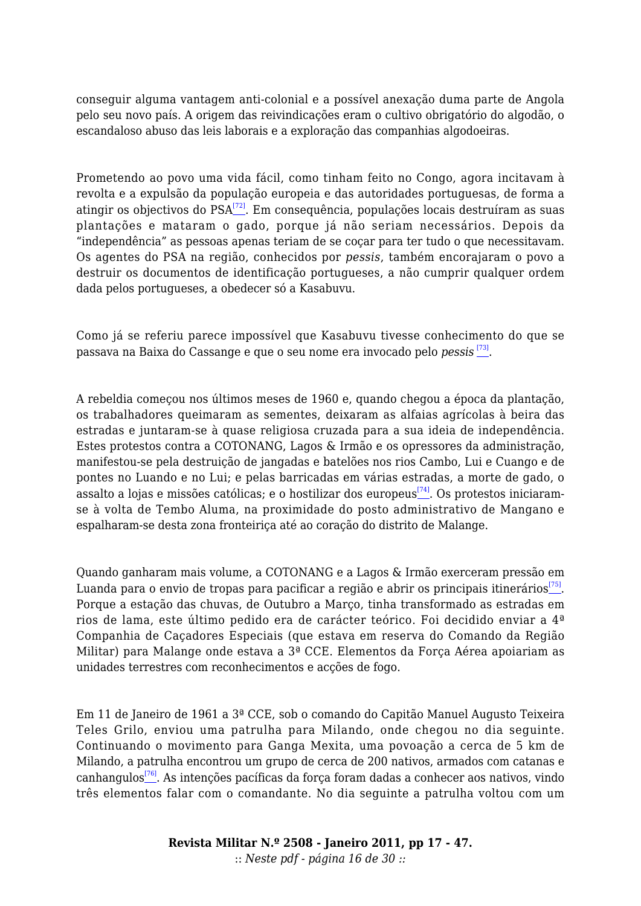conseguir alguma vantagem anti-colonial e a possível anexação duma parte de Angola pelo seu novo país. A origem das reivindicações eram o cultivo obrigatório do algodão, o escandaloso abuso das leis laborais e a exploração das companhias algodoeiras.

<span id="page-15-0"></span>Prometendo ao povo uma vida fácil, como tinham feito no Congo, agora incitavam à revolta e a expulsão da população europeia e das autoridades portuguesas, de forma a atingir os objectivos do PSA[\[72\]](#page-28-2). Em consequência, populações locais destruíram as suas plantações e mataram o gado, porque já não seriam necessários. Depois da "independência" as pessoas apenas teriam de se coçar para ter tudo o que necessitavam. Os agentes do PSA na região, conhecidos por *pessis*, também encorajaram o povo a destruir os documentos de identificação portugueses, a não cumprir qualquer ordem dada pelos portugueses, a obedecer só a Kasabuvu.

<span id="page-15-1"></span>Como já se referiu parece impossível que Kasabuvu tivesse conhecimento do que se passava na Baixa do Cassange e que o seu nome era invocado pelo *pessis*[\[73\]](#page-28-3) .

A rebeldia começou nos últimos meses de 1960 e, quando chegou a época da plantação, os trabalhadores queimaram as sementes, deixaram as alfaias agrícolas à beira das estradas e juntaram-se à quase religiosa cruzada para a sua ideia de independência. Estes protestos contra a COTONANG, Lagos & Irmão e os opressores da administração, manifestou-se pela destruição de jangadas e batelões nos rios Cambo, Lui e Cuango e de pontes no Luando e no Lui; e pelas barricadas em várias estradas, a morte de gado, o assalto a lojas e missões católicas; e o hostilizar dos europeus<sup>[\[74\]](#page-28-4)</sup>. Os protestos iniciaramse à volta de Tembo Aluma, na proximidade do posto administrativo de Mangano e espalharam-se desta zona fronteiriça até ao coração do distrito de Malange.

<span id="page-15-3"></span><span id="page-15-2"></span>Quando ganharam mais volume, a COTONANG e a Lagos & Irmão exerceram pressão em Luanda para o envio de tropas para pacificar a região e abrir os principais itinerários $^{\text{\tiny{[75]}}.}$  $^{\text{\tiny{[75]}}.}$  $^{\text{\tiny{[75]}}.}$ Porque a estação das chuvas, de Outubro a Março, tinha transformado as estradas em rios de lama, este último pedido era de carácter teórico. Foi decidido enviar a 4ª Companhia de Caçadores Especiais (que estava em reserva do Comando da Região Militar) para Malange onde estava a 3ª CCE. Elementos da Força Aérea apoiariam as unidades terrestres com reconhecimentos e acções de fogo.

<span id="page-15-4"></span>Em 11 de Janeiro de 1961 a 3ª CCE, sob o comando do Capitão Manuel Augusto Teixeira Teles Grilo, enviou uma patrulha para Milando, onde chegou no dia seguinte. Continuando o movimento para Ganga Mexita, uma povoação a cerca de 5 km de Milando, a patrulha encontrou um grupo de cerca de 200 nativos, armados com catanas e canhangulos[\[76\]](#page-28-6). As intenções pacíficas da força foram dadas a conhecer aos nativos, vindo três elementos falar com o comandante. No dia seguinte a patrulha voltou com um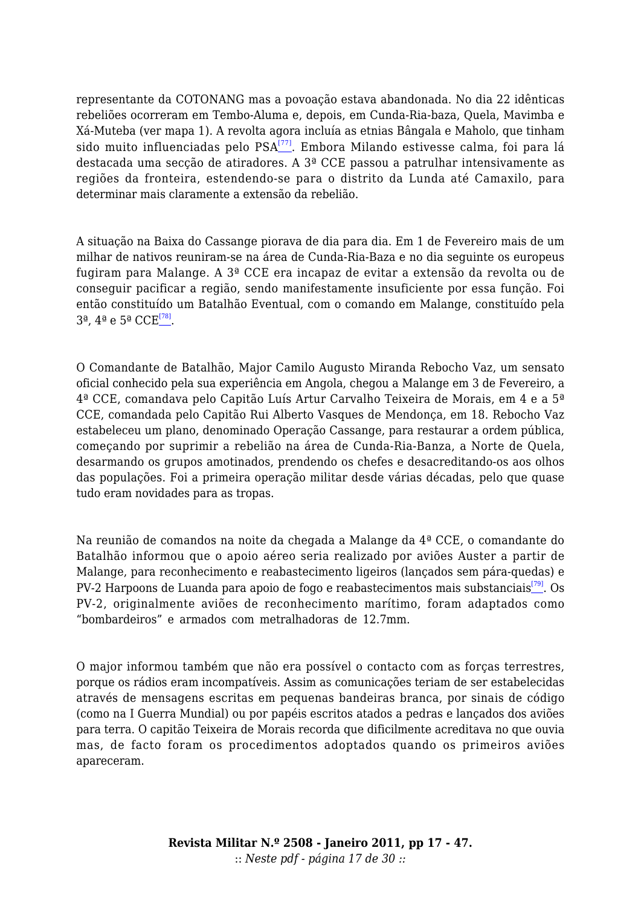<span id="page-16-0"></span>representante da COTONANG mas a povoação estava abandonada. No dia 22 idênticas rebeliões ocorreram em Tembo-Aluma e, depois, em Cunda-Ria-baza, Quela, Mavimba e Xá-Muteba (ver mapa 1). A revolta agora incluía as etnias Bângala e Maholo, que tinham sido muito influenciadas pelo  $PSA^{[77]}$  $PSA^{[77]}$  $PSA^{[77]}$ . Embora Milando estivesse calma, foi para lá destacada uma secção de atiradores. A 3ª CCE passou a patrulhar intensivamente as regiões da fronteira, estendendo-se para o distrito da Lunda até Camaxilo, para determinar mais claramente a extensão da rebelião.

A situação na Baixa do Cassange piorava de dia para dia. Em 1 de Fevereiro mais de um milhar de nativos reuniram-se na área de Cunda-Ria-Baza e no dia seguinte os europeus fugiram para Malange. A 3ª CCE era incapaz de evitar a extensão da revolta ou de conseguir pacificar a região, sendo manifestamente insuficiente por essa função. Foi então constituído um Batalhão Eventual, com o comando em Malange, constituído pela 3ª, 4ª e 5ª CCE $^{[78]}$  $^{[78]}$  $^{[78]}$ .

<span id="page-16-1"></span>O Comandante de Batalhão, Major Camilo Augusto Miranda Rebocho Vaz, um sensato oficial conhecido pela sua experiência em Angola, chegou a Malange em 3 de Fevereiro, a 4ª CCE, comandava pelo Capitão Luís Artur Carvalho Teixeira de Morais, em 4 e a 5ª CCE, comandada pelo Capitão Rui Alberto Vasques de Mendonça, em 18. Rebocho Vaz estabeleceu um plano, denominado Operação Cassange, para restaurar a ordem pública, começando por suprimir a rebelião na área de Cunda-Ria-Banza, a Norte de Quela, desarmando os grupos amotinados, prendendo os chefes e desacreditando-os aos olhos das populações. Foi a primeira operação militar desde várias décadas, pelo que quase tudo eram novidades para as tropas.

<span id="page-16-2"></span>Na reunião de comandos na noite da chegada a Malange da 4ª CCE, o comandante do Batalhão informou que o apoio aéreo seria realizado por aviões Auster a partir de Malange, para reconhecimento e reabastecimento ligeiros (lançados sem pára-quedas) e PV-2 Harpoons de Luanda para apoio de fogo e reabastecimentos mais substanciais $^{[79]}$  $^{[79]}$  $^{[79]}$ . Os PV-2, originalmente aviões de reconhecimento marítimo, foram adaptados como "bombardeiros" e armados com metralhadoras de 12.7mm.

O major informou também que não era possível o contacto com as forças terrestres, porque os rádios eram incompatíveis. Assim as comunicações teriam de ser estabelecidas através de mensagens escritas em pequenas bandeiras branca, por sinais de código (como na I Guerra Mundial) ou por papéis escritos atados a pedras e lançados dos aviões para terra. O capitão Teixeira de Morais recorda que dificilmente acreditava no que ouvia mas, de facto foram os procedimentos adoptados quando os primeiros aviões apareceram.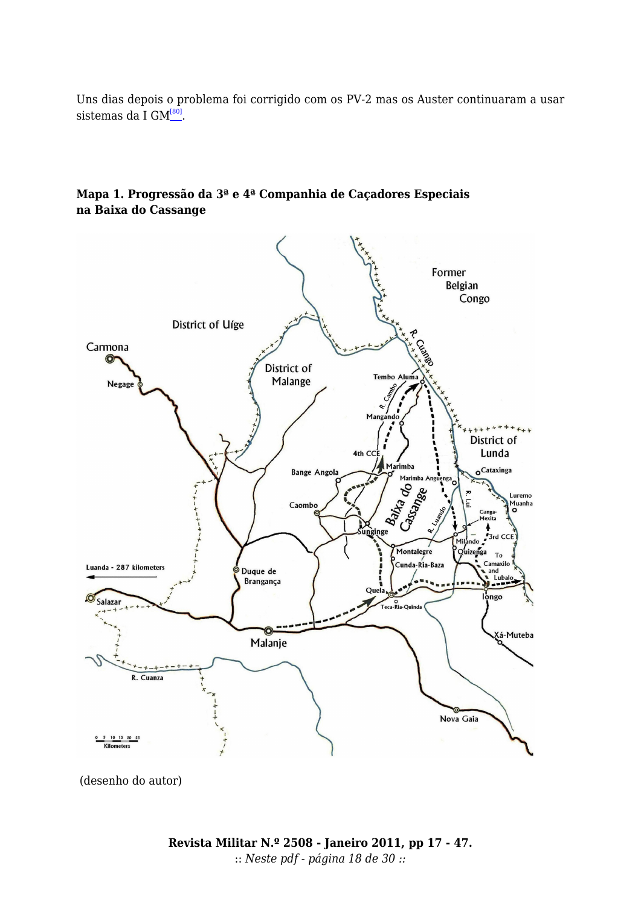<span id="page-17-0"></span>Uns dias depois o problema foi corrigido com os PV-2 mas os Auster continuaram a usar sistemas da I GMM

## **Mapa 1. Progressão da 3ª e 4ª Companhia de Caçadores Especiais na Baixa do Cassange**



(desenho do autor)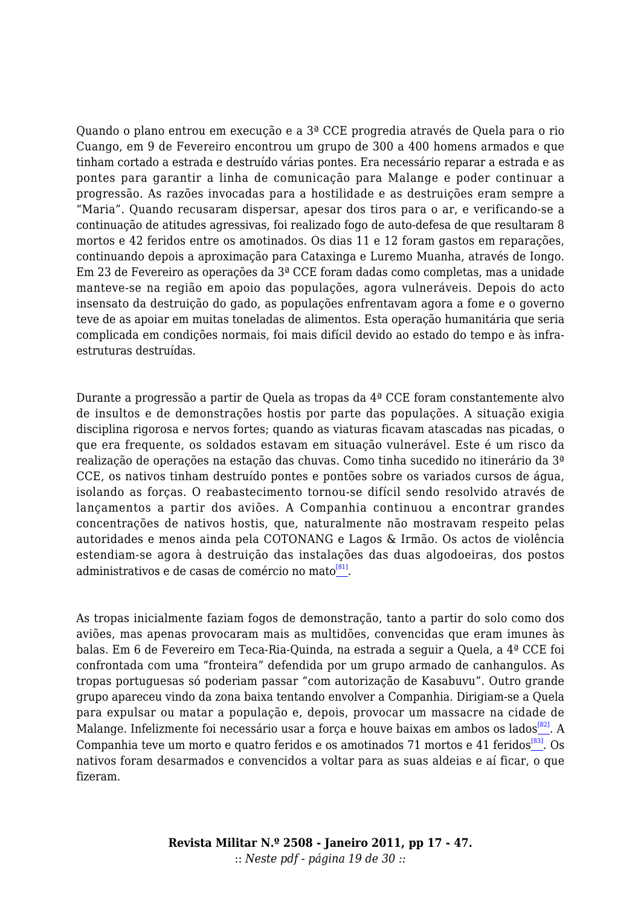Quando o plano entrou em execução e a 3ª CCE progredia através de Quela para o rio Cuango, em 9 de Fevereiro encontrou um grupo de 300 a 400 homens armados e que tinham cortado a estrada e destruído várias pontes. Era necessário reparar a estrada e as pontes para garantir a linha de comunicação para Malange e poder continuar a progressão. As razões invocadas para a hostilidade e as destruições eram sempre a "Maria". Quando recusaram dispersar, apesar dos tiros para o ar, e verificando-se a continuação de atitudes agressivas, foi realizado fogo de auto-defesa de que resultaram 8 mortos e 42 feridos entre os amotinados. Os dias 11 e 12 foram gastos em reparações, continuando depois a aproximação para Cataxinga e Luremo Muanha, através de Iongo. Em 23 de Fevereiro as operações da 3ª CCE foram dadas como completas, mas a unidade manteve-se na região em apoio das populações, agora vulneráveis. Depois do acto insensato da destruição do gado, as populações enfrentavam agora a fome e o governo teve de as apoiar em muitas toneladas de alimentos. Esta operação humanitária que seria complicada em condições normais, foi mais difícil devido ao estado do tempo e às infraestruturas destruídas.

Durante a progressão a partir de Quela as tropas da 4ª CCE foram constantemente alvo de insultos e de demonstrações hostis por parte das populações. A situação exigia disciplina rigorosa e nervos fortes; quando as viaturas ficavam atascadas nas picadas, o que era frequente, os soldados estavam em situação vulnerável. Este é um risco da realização de operações na estação das chuvas. Como tinha sucedido no itinerário da 3ª CCE, os nativos tinham destruído pontes e pontões sobre os variados cursos de água, isolando as forças. O reabastecimento tornou-se difícil sendo resolvido através de lançamentos a partir dos aviões. A Companhia continuou a encontrar grandes concentrações de nativos hostis, que, naturalmente não mostravam respeito pelas autoridades e menos ainda pela COTONANG e Lagos & Irmão. Os actos de violência estendiam-se agora à destruição das instalações das duas algodoeiras, dos postos administrativos e de casas de comércio no mato $^{[81]}$  $^{[81]}$  $^{[81]}$ .

<span id="page-18-2"></span><span id="page-18-1"></span><span id="page-18-0"></span>As tropas inicialmente faziam fogos de demonstração, tanto a partir do solo como dos aviões, mas apenas provocaram mais as multidões, convencidas que eram imunes às balas. Em 6 de Fevereiro em Teca-Ria-Quinda, na estrada a seguir a Quela, a 4ª CCE foi confrontada com uma "fronteira" defendida por um grupo armado de canhangulos. As tropas portuguesas só poderiam passar "com autorização de Kasabuvu". Outro grande grupo apareceu vindo da zona baixa tentando envolver a Companhia. Dirigiam-se a Quela para expulsar ou matar a população e, depois, provocar um massacre na cidade de Malange. Infelizmente foi necessário usar a força e houve baixas em ambos os lados<sup>[\[82\]](#page-28-12)</sup>. A Companhia teve um morto e quatro feridos e os amotinados 71 mortos e 41 feridos $\frac{[83]}{2}$  $\frac{[83]}{2}$  $\frac{[83]}{2}$ . Os nativos foram desarmados e convencidos a voltar para as suas aldeias e aí ficar, o que fizeram.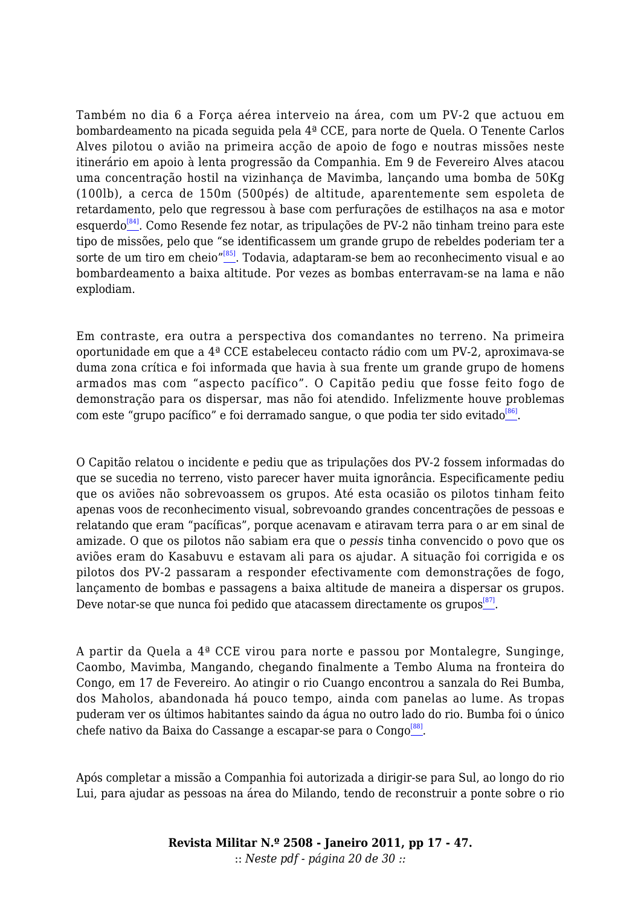<span id="page-19-0"></span>Também no dia 6 a Força aérea interveio na área, com um PV-2 que actuou em bombardeamento na picada seguida pela 4ª CCE, para norte de Quela. O Tenente Carlos Alves pilotou o avião na primeira acção de apoio de fogo e noutras missões neste itinerário em apoio à lenta progressão da Companhia. Em 9 de Fevereiro Alves atacou uma concentração hostil na vizinhança de Mavimba, lançando uma bomba de 50Kg (100lb), a cerca de 150m (500pés) de altitude, aparentemente sem espoleta de retardamento, pelo que regressou à base com perfurações de estilhaços na asa e motor esquerdo<sup>[\[84\]](#page-28-14)</sup>. Como Resende fez notar, as tripulações de PV-2 não tinham treino para este tipo de missões, pelo que "se identificassem um grande grupo de rebeldes poderiam ter a sorte de um tiro em cheio"<sup>[\[85\]](#page-28-15)</sup>. Todavia, adaptaram-se bem ao reconhecimento visual e ao bombardeamento a baixa altitude. Por vezes as bombas enterravam-se na lama e não explodiam.

<span id="page-19-1"></span>Em contraste, era outra a perspectiva dos comandantes no terreno. Na primeira oportunidade em que a 4ª CCE estabeleceu contacto rádio com um PV-2, aproximava-se duma zona crítica e foi informada que havia à sua frente um grande grupo de homens armados mas com "aspecto pacífico". O Capitão pediu que fosse feito fogo de demonstração para os dispersar, mas não foi atendido. Infelizmente houve problemas com este "grupo pacífico" e foi derramado sangue, o que podia ter sido evitado<sup>[\[86\]](#page-28-16)</sup>.

<span id="page-19-2"></span>O Capitão relatou o incidente e pediu que as tripulações dos PV-2 fossem informadas do que se sucedia no terreno, visto parecer haver muita ignorância. Especificamente pediu que os aviões não sobrevoassem os grupos. Até esta ocasião os pilotos tinham feito apenas voos de reconhecimento visual, sobrevoando grandes concentrações de pessoas e relatando que eram "pacíficas", porque acenavam e atiravam terra para o ar em sinal de amizade. O que os pilotos não sabiam era que o *pessis* tinha convencido o povo que os aviões eram do Kasabuvu e estavam ali para os ajudar. A situação foi corrigida e os pilotos dos PV-2 passaram a responder efectivamente com demonstrações de fogo, lançamento de bombas e passagens a baixa altitude de maneira a dispersar os grupos. Deve notar-se que nunca foi pedido que atacassem directamente os grupos<sup>[\[87\]](#page-28-17)</sup>.

<span id="page-19-3"></span>A partir da Quela a 4ª CCE virou para norte e passou por Montalegre, Sunginge, Caombo, Mavimba, Mangando, chegando finalmente a Tembo Aluma na fronteira do Congo, em 17 de Fevereiro. Ao atingir o rio Cuango encontrou a sanzala do Rei Bumba, dos Maholos, abandonada há pouco tempo, ainda com panelas ao lume. As tropas puderam ver os últimos habitantes saindo da água no outro lado do rio. Bumba foi o único chefe nativo da Baixa do Cassange a escapar-se para o Congo<sup>[\[88\]](#page-28-18)</sup>.

<span id="page-19-4"></span>Após completar a missão a Companhia foi autorizada a dirigir-se para Sul, ao longo do rio Lui, para ajudar as pessoas na área do Milando, tendo de reconstruir a ponte sobre o rio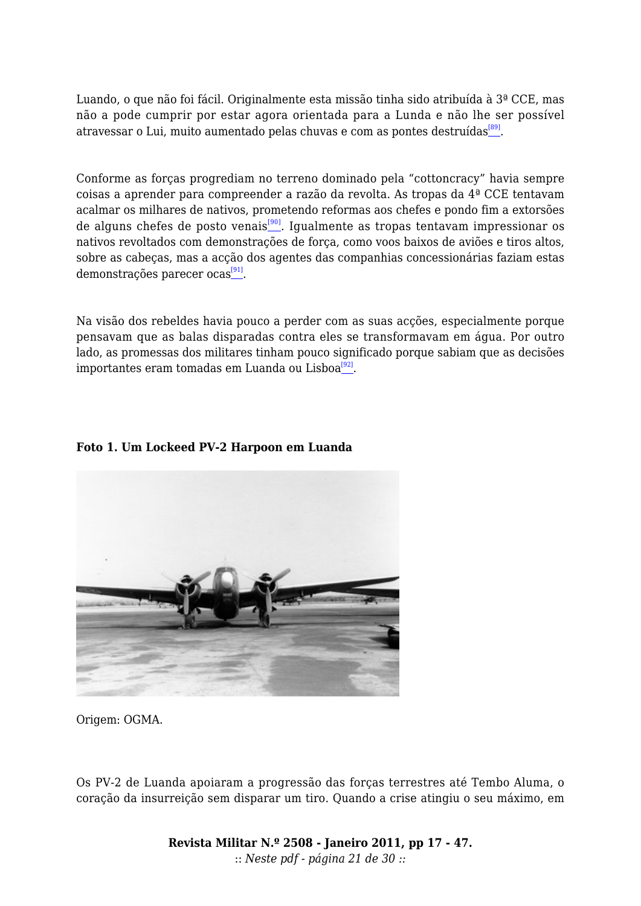<span id="page-20-0"></span>Luando, o que não foi fácil. Originalmente esta missão tinha sido atribuída à 3ª CCE, mas não a pode cumprir por estar agora orientada para a Lunda e não lhe ser possível atravessar o Lui, muito aumentado pelas chuvas e com as pontes destruídas....

<span id="page-20-1"></span>Conforme as forças progrediam no terreno dominado pela "cottoncracy" havia sempre coisas a aprender para compreender a razão da revolta. As tropas da 4ª CCE tentavam acalmar os milhares de nativos, prometendo reformas aos chefes e pondo fim a extorsões de alguns chefes de posto venais<sup>[\[90\]](#page-28-20)</sup>. Igualmente as tropas tentavam impressionar os nativos revoltados com demonstrações de força, como voos baixos de aviões e tiros altos, sobre as cabeças, mas a acção dos agentes das companhias concessionárias faziam estas demonstrações parecer ocas<sup>[\[91\]](#page-28-21)</sup>.

<span id="page-20-3"></span><span id="page-20-2"></span>Na visão dos rebeldes havia pouco a perder com as suas acções, especialmente porque pensavam que as balas disparadas contra eles se transformavam em água. Por outro lado, as promessas dos militares tinham pouco significado porque sabiam que as decisões importantes eram tomadas em Luanda ou Lisboa $\stackrel{[92]}{\ldots}$  $\stackrel{[92]}{\ldots}$  $\stackrel{[92]}{\ldots}$ .

#### **Foto 1. Um Lockeed PV-2 Harpoon em Luanda**



Origem: OGMA.

Os PV-2 de Luanda apoiaram a progressão das forças terrestres até Tembo Aluma, o coração da insurreição sem disparar um tiro. Quando a crise atingiu o seu máximo, em

> **Revista Militar N.º 2508 - Janeiro 2011, pp 17 - 47.** :: *Neste pdf - página 21 de 30 ::*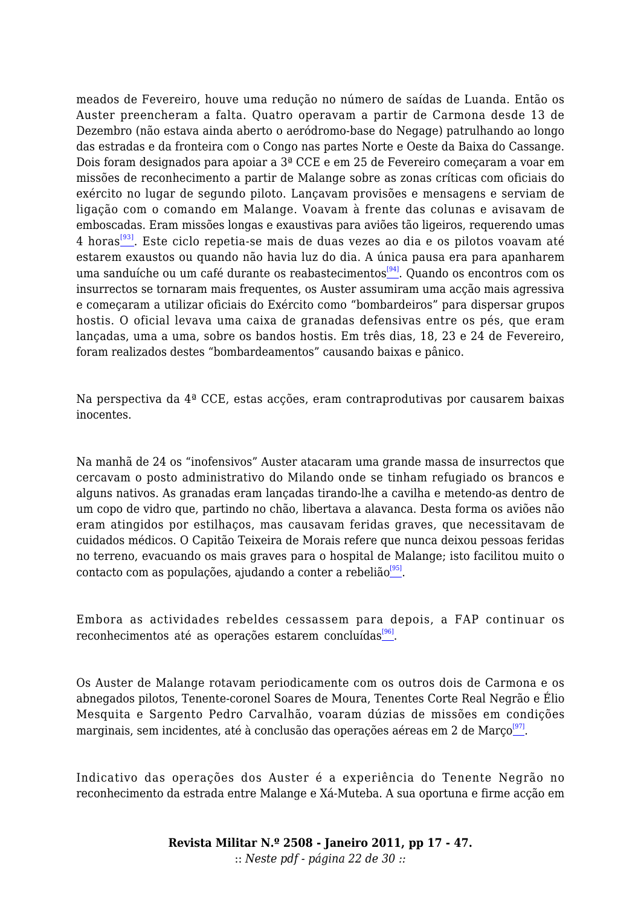<span id="page-21-0"></span>meados de Fevereiro, houve uma redução no número de saídas de Luanda. Então os Auster preencheram a falta. Quatro operavam a partir de Carmona desde 13 de Dezembro (não estava ainda aberto o aeródromo-base do Negage) patrulhando ao longo das estradas e da fronteira com o Congo nas partes Norte e Oeste da Baixa do Cassange. Dois foram designados para apoiar a 3ª CCE e em 25 de Fevereiro começaram a voar em missões de reconhecimento a partir de Malange sobre as zonas críticas com oficiais do exército no lugar de segundo piloto. Lançavam provisões e mensagens e serviam de ligação com o comando em Malange. Voavam à frente das colunas e avisavam de emboscadas. Eram missões longas e exaustivas para aviões tão ligeiros, requerendo umas 4 horas<sup>[\[93\]](#page-28-23)</sup>. Este ciclo repetia-se mais de duas vezes ao dia e os pilotos voavam até estarem exaustos ou quando não havia luz do dia. A única pausa era para apanharem uma sanduíche ou um café durante os reabastecimentos<sup>[\[94\]](#page-28-24)</sup>. Quando os encontros com os insurrectos se tornaram mais frequentes, os Auster assumiram uma acção mais agressiva e começaram a utilizar oficiais do Exército como "bombardeiros" para dispersar grupos hostis. O oficial levava uma caixa de granadas defensivas entre os pés, que eram lançadas, uma a uma, sobre os bandos hostis. Em três dias, 18, 23 e 24 de Fevereiro, foram realizados destes "bombardeamentos" causando baixas e pânico.

<span id="page-21-1"></span>Na perspectiva da 4ª CCE, estas acções, eram contraprodutivas por causarem baixas inocentes.

Na manhã de 24 os "inofensivos" Auster atacaram uma grande massa de insurrectos que cercavam o posto administrativo do Milando onde se tinham refugiado os brancos e alguns nativos. As granadas eram lançadas tirando-lhe a cavilha e metendo-as dentro de um copo de vidro que, partindo no chão, libertava a alavanca. Desta forma os aviões não eram atingidos por estilhaços, mas causavam feridas graves, que necessitavam de cuidados médicos. O Capitão Teixeira de Morais refere que nunca deixou pessoas feridas no terreno, evacuando os mais graves para o hospital de Malange; isto facilitou muito o contacto com as populações, ajudando a conter a rebelião<sup>[\[95\]](#page-28-25)</sup>.

<span id="page-21-3"></span><span id="page-21-2"></span>Embora as actividades rebeldes cessassem para depois, a FAP continuar os reconhecimentos até as operações estarem concluídas<sup>[\[96\]](#page-28-26)</sup>.

<span id="page-21-4"></span>Os Auster de Malange rotavam periodicamente com os outros dois de Carmona e os abnegados pilotos, Tenente-coronel Soares de Moura, Tenentes Corte Real Negrão e Élio Mesquita e Sargento Pedro Carvalhão, voaram dúzias de missões em condições marginais, sem incidentes, até à conclusão das operações aéreas em 2 de Março $^{[97]}$  $^{[97]}$  $^{[97]}$ .

Indicativo das operações dos Auster é a experiência do Tenente Negrão no reconhecimento da estrada entre Malange e Xá-Muteba. A sua oportuna e firme acção em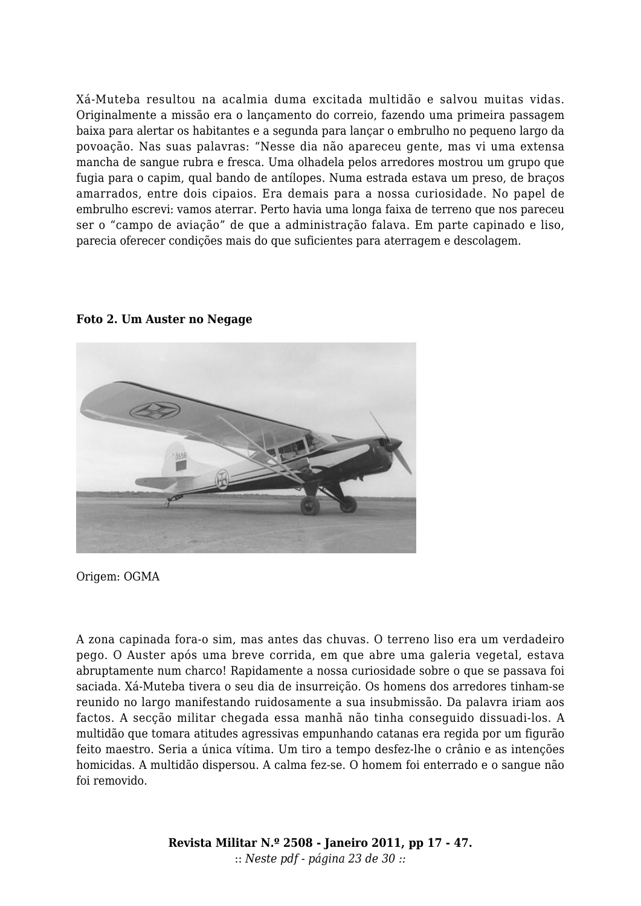Xá-Muteba resultou na acalmia duma excitada multidão e salvou muitas vidas. Originalmente a missão era o lançamento do correio, fazendo uma primeira passagem baixa para alertar os habitantes e a segunda para lançar o embrulho no pequeno largo da povoação. Nas suas palavras: "Nesse dia não apareceu gente, mas vi uma extensa mancha de sangue rubra e fresca. Uma olhadela pelos arredores mostrou um grupo que fugia para o capim, qual bando de antílopes. Numa estrada estava um preso, de braços amarrados, entre dois cipaios. Era demais para a nossa curiosidade. No papel de embrulho escrevi: vamos aterrar. Perto havia uma longa faixa de terreno que nos pareceu ser o "campo de aviação" de que a administração falava. Em parte capinado e liso, parecia oferecer condições mais do que suficientes para aterragem e descolagem.

**Foto 2. Um Auster no Negage**



Origem: OGMA

A zona capinada fora-o sim, mas antes das chuvas. O terreno liso era um verdadeiro pego. O Auster após uma breve corrida, em que abre uma galeria vegetal, estava abruptamente num charco! Rapidamente a nossa curiosidade sobre o que se passava foi saciada. Xá-Muteba tivera o seu dia de insurreição. Os homens dos arredores tinham-se reunido no largo manifestando ruidosamente a sua insubmissão. Da palavra iriam aos factos. A secção militar chegada essa manhã não tinha conseguido dissuadi-los. A multidão que tomara atitudes agressivas empunhando catanas era regida por um figurão feito maestro. Seria a única vítima. Um tiro a tempo desfez-lhe o crânio e as intenções homicidas. A multidão dispersou. A calma fez-se. O homem foi enterrado e o sangue não foi removido.

> **Revista Militar N.º 2508 - Janeiro 2011, pp 17 - 47.** :: *Neste pdf - página 23 de 30 ::*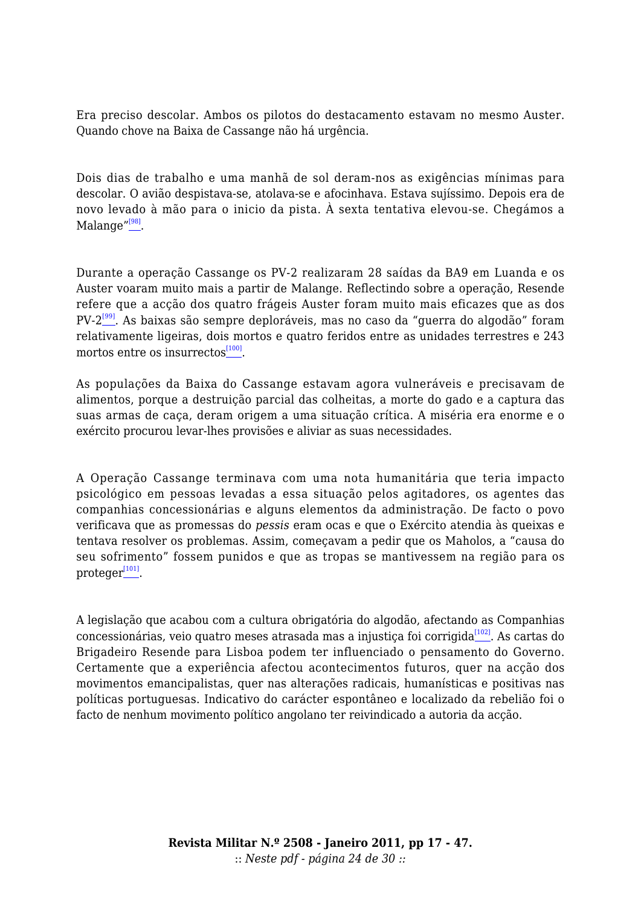Era preciso descolar. Ambos os pilotos do destacamento estavam no mesmo Auster. Quando chove na Baixa de Cassange não há urgência.

<span id="page-23-0"></span>Dois dias de trabalho e uma manhã de sol deram-nos as exigências mínimas para descolar. O avião despistava-se, atolava-se e afocinhava. Estava sujíssimo. Depois era de novo levado à mão para o inicio da pista. À sexta tentativa elevou-se. Chegámos a Malange"[\[98\]](#page-28-28).

<span id="page-23-1"></span>Durante a operação Cassange os PV-2 realizaram 28 saídas da BA9 em Luanda e os Auster voaram muito mais a partir de Malange. Reflectindo sobre a operação, Resende refere que a acção dos quatro frágeis Auster foram muito mais eficazes que as dos PV-2<sup>[\[99\]](#page-28-29)</sup>. As baixas são sempre deploráveis, mas no caso da "guerra do algodão" foram relativamente ligeiras, dois mortos e quatro feridos entre as unidades terrestres e 243 mortos entre os insurrectos<sup>[\[100\]](#page-28-30)</sup>.

<span id="page-23-2"></span>As populações da Baixa do Cassange estavam agora vulneráveis e precisavam de alimentos, porque a destruição parcial das colheitas, a morte do gado e a captura das suas armas de caça, deram origem a uma situação crítica. A miséria era enorme e o exército procurou levar-lhes provisões e aliviar as suas necessidades.

A Operação Cassange terminava com uma nota humanitária que teria impacto psicológico em pessoas levadas a essa situação pelos agitadores, os agentes das companhias concessionárias e alguns elementos da administração. De facto o povo verificava que as promessas do *pessis* eram ocas e que o Exército atendia às queixas e tentava resolver os problemas. Assim, começavam a pedir que os Maholos, a "causa do seu sofrimento" fossem punidos e que as tropas se mantivessem na região para os  $\text{proteger}^{[101]}$  $\text{proteger}^{[101]}$  $\text{proteger}^{[101]}$ .

<span id="page-23-4"></span><span id="page-23-3"></span>A legislação que acabou com a cultura obrigatória do algodão, afectando as Companhias concessionárias, veio quatro meses atrasada mas a injustiça foi corrigida<sup>[\[102\]](#page-29-1)</sup>. As cartas do Brigadeiro Resende para Lisboa podem ter influenciado o pensamento do Governo. Certamente que a experiência afectou acontecimentos futuros, quer na acção dos movimentos emancipalistas, quer nas alterações radicais, humanísticas e positivas nas políticas portuguesas. Indicativo do carácter espontâneo e localizado da rebelião foi o facto de nenhum movimento político angolano ter reivindicado a autoria da acção.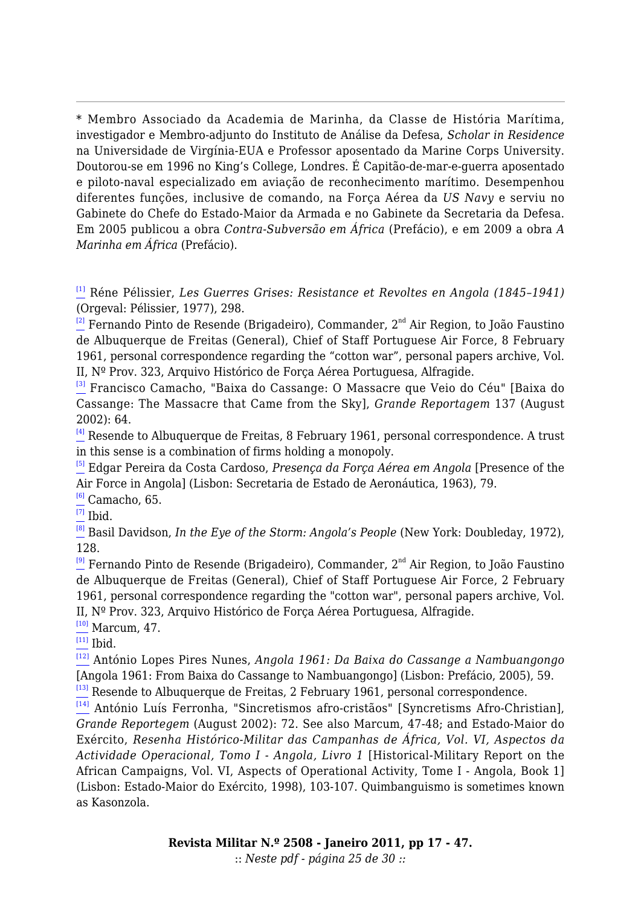\* Membro Associado da Academia de Marinha, da Classe de História Marítima, investigador e Membro-adjunto do Instituto de Análise da Defesa, *Scholar in Residence* na Universidade de Virgínia-EUA e Professor aposentado da Marine Corps University. Doutorou-se em 1996 no King's College, Londres. É Capitão-de-mar-e-guerra aposentado e piloto-naval especializado em aviação de reconhecimento marítimo. Desempenhou diferentes funções, inclusive de comando, na Força Aérea da *US Navy* e serviu no Gabinete do Chefe do Estado-Maior da Armada e no Gabinete da Secretaria da Defesa. Em 2005 publicou a obra *Contra-Subversão em África* (Prefácio), e em 2009 a obra *A Marinha em África* (Prefácio).

<span id="page-24-0"></span>[\[1\]](#page-0-0) Réne Pélissier, *Les Guerres Grises: Resistance et Revoltes en Angola (1845–1941)* (Orgeval: Pélissier, 1977), 298.

<span id="page-24-1"></span> $^{[2]}$  $^{[2]}$  $^{[2]}$  Fernando Pinto de Resende (Brigadeiro), Commander,  $2^{nd}$  Air Region, to João Faustino de Albuquerque de Freitas (General), Chief of Staff Portuguese Air Force, 8 February 1961, personal correspondence regarding the "cotton war", personal papers archive, Vol. II, Nº Prov. 323, Arquivo Histórico de Força Aérea Portuguesa, Alfragide.

<span id="page-24-2"></span>[\[3\]](#page-0-2) Francisco Camacho, "Baixa do Cassange: O Massacre que Veio do Céu" [Baixa do Cassange: The Massacre that Came from the Sky], *Grande Reportagem* 137 (August 2002): 64.

<span id="page-24-3"></span> $\frac{4}{1}$  Resende to Albuquerque de Freitas, 8 February 1961, personal correspondence. A trust in this sense is a combination of firms holding a monopoly.

<span id="page-24-4"></span>[\[5\]](#page-0-4) Edgar Pereira da Costa Cardoso, *Presença da Força Aérea em Angola* [Presence of the Air Force in Angola] (Lisbon: Secretaria de Estado de Aeronáutica, 1963), 79.

<span id="page-24-5"></span>[\[6\]](#page-0-5) Camacho, 65.

<span id="page-24-6"></span> $\overline{[7]}$  $\overline{[7]}$  $\overline{[7]}$  Ibid.

<span id="page-24-7"></span>[\[8\]](#page-1-0) Basil Davidson, *In the Eye of the Storm: Angola's People* (New York: Doubleday, 1972), 128.

<span id="page-24-8"></span> $[9]$  Fernando Pinto de Resende (Brigadeiro), Commander,  $2<sup>nd</sup>$  Air Region, to João Faustino de Albuquerque de Freitas (General), Chief of Staff Portuguese Air Force, 2 February 1961, personal correspondence regarding the "cotton war", personal papers archive, Vol. II, Nº Prov. 323, Arquivo Histórico de Força Aérea Portuguesa, Alfragide.

<span id="page-24-9"></span> $^{[10]}$  $^{[10]}$  $^{[10]}$  Marcum, 47.

<span id="page-24-10"></span> $^{[11]}$  $^{[11]}$  $^{[11]}$  Ibid.

<span id="page-24-11"></span>[\[12\]](#page-1-4) António Lopes Pires Nunes, *Angola 1961: Da Baixa do Cassange a Nambuangongo* [Angola 1961: From Baixa do Cassange to Nambuangongo] (Lisbon: Prefácio, 2005), 59.

<span id="page-24-12"></span> $^{[13]}$  $^{[13]}$  $^{[13]}$  Resende to Albuquerque de Freitas, 2 February 1961, personal correspondence.

<span id="page-24-13"></span>[\[14\]](#page-1-6) António Luís Ferronha, "Sincretismos afro-cristãos" [Syncretisms Afro-Christian], *Grande Reportegem* (August 2002): 72. See also Marcum, 47-48; and Estado-Maior do Exército, *Resenha Histórico-Militar das Campanhas de África, Vol. VI, Aspectos da Actividade Operacional, Tomo I - Angola, Livro 1* [Historical-Military Report on the African Campaigns, Vol. VI, Aspects of Operational Activity, Tome I - Angola, Book 1] (Lisbon: Estado-Maior do Exército, 1998), 103-107. Quimbanguismo is sometimes known as Kasonzola.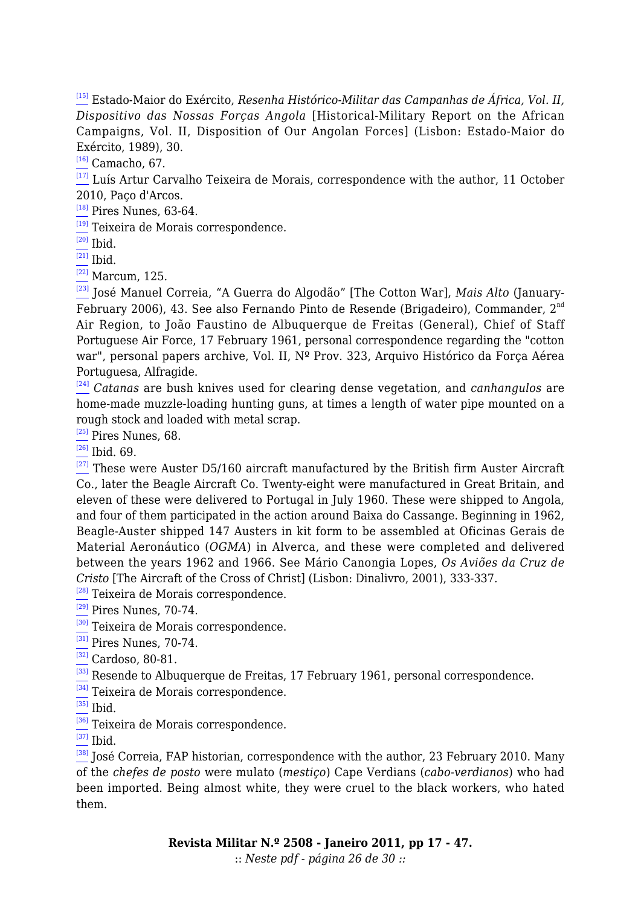<span id="page-25-0"></span>[\[15\]](#page-1-7) Estado-Maior do Exército, *Resenha Histórico-Militar das Campanhas de África, Vol. II, Dispositivo das Nossas Forças Angola* [Historical-Military Report on the African Campaigns, Vol. II, Disposition of Our Angolan Forces] (Lisbon: Estado-Maior do Exército, 1989), 30.

<span id="page-25-1"></span> $^{[16]}$  $^{[16]}$  $^{[16]}$  Camacho, 67.

<span id="page-25-2"></span> $\frac{117}{2}$  Luís Artur Carvalho Teixeira de Morais, correspondence with the author, 11 October 2010, Paço d'Arcos.

<span id="page-25-3"></span> $^{[18]}$  $^{[18]}$  $^{[18]}$  Pires Nunes, 63-64.

<span id="page-25-4"></span>[\[19\]](#page-2-2) Teixeira de Morais correspondence.

<span id="page-25-5"></span> $\overline{\phantom{a}^{[20]}}$  $\overline{\phantom{a}^{[20]}}$  $\overline{\phantom{a}^{[20]}}$  Ibid.

<span id="page-25-6"></span> $\overline{[21]}$  $\overline{[21]}$  $\overline{[21]}$  Ibid.

<span id="page-25-7"></span> $\frac{1}{221}$  Marcum, 125.

<span id="page-25-8"></span>[\[23\]](#page-3-2) José Manuel Correia, "A Guerra do Algodão" [The Cotton War], *Mais Alto* (January-February 2006), 43. See also Fernando Pinto de Resende (Brigadeiro), Commander, 2nd Air Region, to João Faustino de Albuquerque de Freitas (General), Chief of Staff Portuguese Air Force, 17 February 1961, personal correspondence regarding the "cotton war", personal papers archive, Vol. II, Nº Prov. 323, Arquivo Histórico da Força Aérea Portuguesa, Alfragide.

<span id="page-25-9"></span>[\[24\]](#page-3-3) *Catanas* are bush knives used for clearing dense vegetation, and *canhangulos* are home-made muzzle-loading hunting guns, at times a length of water pipe mounted on a rough stock and loaded with metal scrap.

<span id="page-25-10"></span> $^{[25]}$  $^{[25]}$  $^{[25]}$  Pires Nunes, 68.

<span id="page-25-11"></span> $^{[26]}$  $^{[26]}$  $^{[26]}$  Ibid. 69.

<span id="page-25-12"></span> $[27]$  These were Auster D5/160 aircraft manufactured by the British firm Auster Aircraft Co., later the Beagle Aircraft Co. Twenty-eight were manufactured in Great Britain, and eleven of these were delivered to Portugal in July 1960. These were shipped to Angola, and four of them participated in the action around Baixa do Cassange. Beginning in 1962, Beagle-Auster shipped 147 Austers in kit form to be assembled at Oficinas Gerais de Material Aeronáutico (*OGMA*) in Alverca, and these were completed and delivered between the years 1962 and 1966. See Mário Canongia Lopes, *Os Aviões da Cruz de Cristo* [The Aircraft of the Cross of Christ] (Lisbon: Dinalivro, 2001), 333-337.

<span id="page-25-13"></span><sup>[\[28\]](#page-4-2)</sup> Teixeira de Morais correspondence.

<span id="page-25-14"></span> $^{[29]}$  $^{[29]}$  $^{[29]}$  Pires Nunes, 70-74.

<span id="page-25-15"></span><sup>[\[30\]](#page-6-1)</sup> Teixeira de Morais correspondence.

<span id="page-25-16"></span> $^{[31]}$  $^{[31]}$  $^{[31]}$  Pires Nunes, 70-74.

<span id="page-25-17"></span> $^{[32]}$  $^{[32]}$  $^{[32]}$  Cardoso, 80-81.

<span id="page-25-18"></span> $\frac{33}{2}$  Resende to Albuquerque de Freitas, 17 February 1961, personal correspondence.

<span id="page-25-19"></span><sup>[\[34\]](#page-7-2)</sup> Teixeira de Morais correspondence.

<span id="page-25-20"></span> $^{[35]}$  $^{[35]}$  $^{[35]}$  Ibid.

<span id="page-25-21"></span><sup>[\[36\]](#page-8-0)</sup> Teixeira de Morais correspondence.

<span id="page-25-22"></span>[\[37\]](#page-8-1) Ibid.

<span id="page-25-23"></span> $\frac{[38]}{[38]}$  $\frac{[38]}{[38]}$  $\frac{[38]}{[38]}$  José Correia, FAP historian, correspondence with the author, 23 February 2010. Many of the *chefes de posto* were mulato (*mestiço*) Cape Verdians (*cabo-verdianos*) who had been imported. Being almost white, they were cruel to the black workers, who hated them.

**Revista Militar N.º 2508 - Janeiro 2011, pp 17 - 47.**

:: *Neste pdf - página 26 de 30 ::*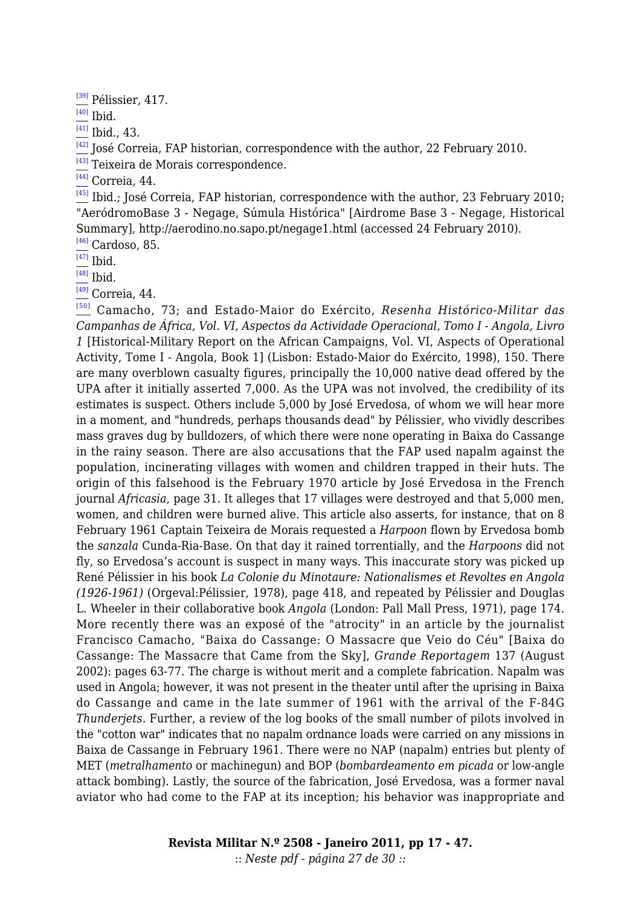<span id="page-26-0"></span><sup>[\[39\]](#page-8-3)</sup> Pélissier, 417.

 $[40]$  Ibid.

<span id="page-26-2"></span><span id="page-26-1"></span> $\frac{1}{[41]}$  $\frac{1}{[41]}$  $\frac{1}{[41]}$  Ibid., 43.

<span id="page-26-3"></span>[\[42\]](#page-9-1) José Correia, FAP historian, correspondence with the author, 22 February 2010.

[\[43\]](#page-9-2) Teixeira de Morais correspondence.

<span id="page-26-5"></span><span id="page-26-4"></span> $\overline{[44]}$  $\overline{[44]}$  $\overline{[44]}$  Correia, 44.

<span id="page-26-6"></span>[\[45\]](#page-10-0) Ibid.; José Correia, FAP historian, correspondence with the author, 23 February 2010; "AeródromoBase 3 - Negage, Súmula Histórica" [Airdrome Base 3 - Negage, Historical Summary], http://aerodino.no.sapo.pt/negage1.html (accessed 24 February 2010).

<span id="page-26-7"></span> $\frac{[46]}{[46]}$  $\frac{[46]}{[46]}$  $\frac{[46]}{[46]}$  Cardoso, 85.

<span id="page-26-8"></span> $[47]$  Ibid.

<span id="page-26-9"></span> $\overline{[48]}$  $\overline{[48]}$  $\overline{[48]}$  Ibid.

<span id="page-26-10"></span> $[49]$  Correia, 44.

<span id="page-26-11"></span>[\[50\]](#page-11-1) Camacho, 73; and Estado-Maior do Exército, *Resenha Histórico-Militar das Campanhas de África, Vol. VI, Aspectos da Actividade Operacional, Tomo I - Angola, Livro 1* [Historical-Military Report on the African Campaigns, Vol. VI, Aspects of Operational Activity, Tome I - Angola, Book 1] (Lisbon: Estado-Maior do Exército, 1998), 150. There are many overblown casualty figures, principally the 10,000 native dead offered by the UPA after it initially asserted 7,000. As the UPA was not involved, the credibility of its estimates is suspect. Others include 5,000 by José Ervedosa, of whom we will hear more in a moment, and "hundreds, perhaps thousands dead" by Pélissier, who vividly describes mass graves dug by bulldozers, of which there were none operating in Baixa do Cassange in the rainy season. There are also accusations that the FAP used napalm against the population, incinerating villages with women and children trapped in their huts. The origin of this falsehood is the February 1970 article by José Ervedosa in the French journal *Africasia*, page 31. It alleges that 17 villages were destroyed and that 5,000 men, women, and children were burned alive. This article also asserts, for instance, that on 8 February 1961 Captain Teixeira de Morais requested a *Harpoon* flown by Ervedosa bomb the *sanzala* Cunda-Ria-Base. On that day it rained torrentially, and the *Harpoons* did not fly, so Ervedosa's account is suspect in many ways. This inaccurate story was picked up René Pélissier in his book *La Colonie du Minotaure: Nationalismes et Revoltes en Angola (1926-1961)* (Orgeval:Pélissier, 1978), page 418, and repeated by Pélissier and Douglas L. Wheeler in their collaborative book *Angola* (London: Pall Mall Press, 1971), page 174. More recently there was an exposé of the "atrocity" in an article by the journalist Francisco Camacho, "Baixa do Cassange: O Massacre que Veio do Céu" [Baixa do Cassange: The Massacre that Came from the Sky], *Grande Reportagem* 137 (August 2002): pages 63-77. The charge is without merit and a complete fabrication. Napalm was used in Angola; however, it was not present in the theater until after the uprising in Baixa do Cassange and came in the late summer of 1961 with the arrival of the F-84G *Thunderjets*. Further, a review of the log books of the small number of pilots involved in the "cotton war" indicates that no napalm ordnance loads were carried on any missions in Baixa de Cassange in February 1961. There were no NAP (napalm) entries but plenty of MET (*metralhamento* or machinegun) and BOP (*bombardeamento em picada* or low-angle attack bombing). Lastly, the source of the fabrication, José Ervedosa, was a former naval aviator who had come to the FAP at its inception; his behavior was inappropriate and

> **Revista Militar N.º 2508 - Janeiro 2011, pp 17 - 47.** :: *Neste pdf - página 27 de 30 ::*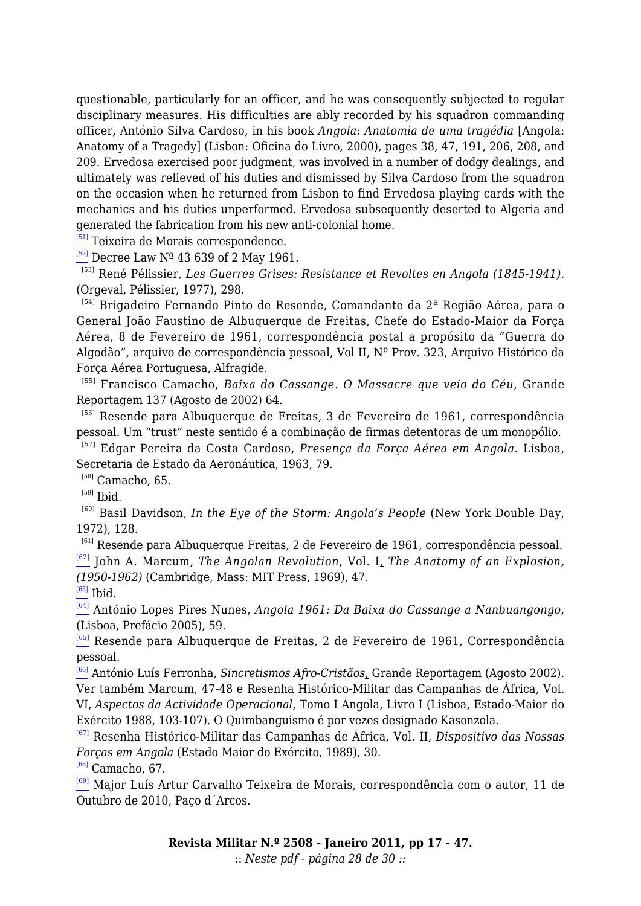questionable, particularly for an officer, and he was consequently subjected to regular disciplinary measures. His difficulties are ably recorded by his squadron commanding officer, António Silva Cardoso, in his book *Angola: Anatomia de uma tragédia* [Angola: Anatomy of a Tragedy] (Lisbon: Oficina do Livro, 2000), pages 38, 47, 191, 206, 208, and 209. Ervedosa exercised poor judgment, was involved in a number of dodgy dealings, and ultimately was relieved of his duties and dismissed by Silva Cardoso from the squadron on the occasion when he returned from Lisbon to find Ervedosa playing cards with the mechanics and his duties unperformed. Ervedosa subsequently deserted to Algeria and generated the fabrication from his new anti-colonial home.

<span id="page-27-0"></span><sup>[\[51\]](#page-11-2)</sup> Teixeira de Morais correspondence.

<span id="page-27-1"></span> $^{[52]}$  $^{[52]}$  $^{[52]}$  Decree Law Nº 43 639 of 2 May 1961.

[53] René Pélissier, *Les Guerres Grises: Resistance et Revoltes en Angola (1845-1941)*. (Orgeval, Pélissier, 1977), 298.

 $^{[54]}$  Brigadeiro Fernando Pinto de Resende, Comandante da  $2<sup>2</sup>$  Região Aérea, para o General João Faustino de Albuquerque de Freitas, Chefe do Estado-Maior da Força Aérea, 8 de Fevereiro de 1961, correspondência postal a propósito da "Guerra do Algodão", arquivo de correspondência pessoal, Vol II, Nº Prov. 323, Arquivo Histórico da Força Aérea Portuguesa, Alfragide.

[55] Francisco Camacho, *Baixa do Cassange. O Massacre que veio do Céu*, Grande Reportagem 137 (Agosto de 2002) 64.

<sup>[56]</sup> Resende para Albuquerque de Freitas, 3 de Fevereiro de 1961, correspondência pessoal. Um "trust" neste sentido é a combinação de firmas detentoras de um monopólio.

[57] Edgar Pereira da Costa Cardoso, *Presença da Força Aérea em Angola*. Lisboa, Secretaria de Estado da Aeronáutica, 1963, 79.

 $^{[58]}$  Camacho, 65.

[59] Ibid.

[60] Basil Davidson, *In the Eye of the Storm: Angola's People* (New York Double Day, 1972), 128.

<span id="page-27-2"></span> $^{[61]}$  Resende para Albuquerque Freitas, 2 de Fevereiro de 1961, correspondência pessoal. [\[62\]](#page-13-0) John A. Marcum, *The Angolan Revolution*, Vol. I, *The Anatomy of an Explosion, (1950-1962)* (Cambridge, Mass: MIT Press, 1969), 47.

<span id="page-27-3"></span> $^{[63]}$  $^{[63]}$  $^{[63]}$  Ibid.

<span id="page-27-4"></span>[\[64\]](#page-13-2) António Lopes Pires Nunes, *Angola 1961: Da Baixa do Cassange a Nanbuangongo*, (Lisboa, Prefácio 2005), 59.

<span id="page-27-5"></span>[\[65\]](#page-13-3) Resende para Albuquerque de Freitas, 2 de Fevereiro de 1961, Correspondência pessoal.

<span id="page-27-6"></span>[\[66\]](#page-13-4) António Luís Ferronha, *Sincretismos Afro-Cristãos*, Grande Reportagem (Agosto 2002). Ver também Marcum, 47-48 e Resenha Histórico-Militar das Campanhas de África, Vol.

VI, *Aspectos da Actividade Operacional*, Tomo I Angola, Livro I (Lisboa, Estado-Maior do Exército 1988, 103-107). O Quimbanguismo é por vezes designado Kasonzola.

<span id="page-27-7"></span>[\[67\]](#page-13-5) Resenha Histórico-Militar das Campanhas de África, Vol. II, *Dispositivo das Nossas Forças em Angola* (Estado Maior do Exército, 1989), 30.

<span id="page-27-8"></span> $\frac{[68]}{[68]}$  $\frac{[68]}{[68]}$  $\frac{[68]}{[68]}$  Camacho, 67.

<span id="page-27-9"></span>[\[69\]](#page-14-1) Major Luís Artur Carvalho Teixeira de Morais, correspondência com o autor, 11 de Outubro de 2010, Paço d´Arcos.

**Revista Militar N.º 2508 - Janeiro 2011, pp 17 - 47.**

:: *Neste pdf - página 28 de 30 ::*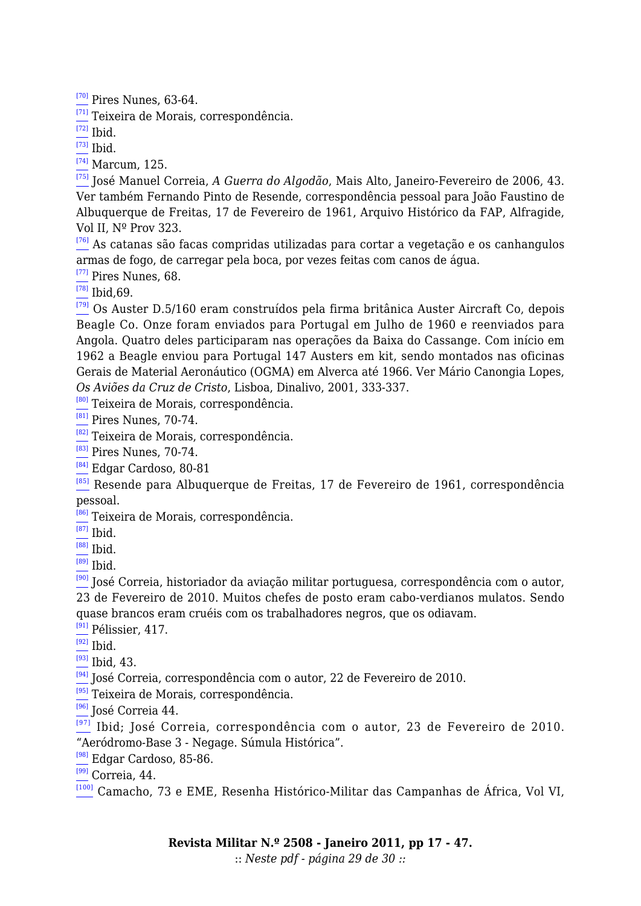<span id="page-28-0"></span> $\frac{[70]}{[70]}$  $\frac{[70]}{[70]}$  $\frac{[70]}{[70]}$  Pires Nunes, 63-64.

<span id="page-28-1"></span><sup>[\[71\]](#page-14-3)</sup> Teixeira de Morais, correspondência.

<span id="page-28-2"></span> $\overline{[72]}$  $\overline{[72]}$  $\overline{[72]}$  Ibid.

<span id="page-28-3"></span> $^{[73]}$  $^{[73]}$  $^{[73]}$  Ibid.

<span id="page-28-4"></span> $\overline{[74]}$  $\overline{[74]}$  $\overline{[74]}$  Marcum, 125.

<span id="page-28-5"></span>[\[75\]](#page-15-3) José Manuel Correia, *A Guerra do Algodão*, Mais Alto, Janeiro-Fevereiro de 2006, 43. Ver também Fernando Pinto de Resende, correspondência pessoal para João Faustino de Albuquerque de Freitas, 17 de Fevereiro de 1961, Arquivo Histórico da FAP, Alfragide, Vol II, Nº Prov 323.

<span id="page-28-6"></span>[\[76\]](#page-15-4) As catanas são facas compridas utilizadas para cortar a vegetação e os canhangulos armas de fogo, de carregar pela boca, por vezes feitas com canos de água.

<span id="page-28-7"></span><sup>[\[77\]](#page-16-0)</sup> Pires Nunes, 68.

<span id="page-28-8"></span> $^{[78]}$  $^{[78]}$  $^{[78]}$  Ibid, 69.

<span id="page-28-9"></span> $\frac{7791}{2}$  Os Auster D.5/160 eram construídos pela firma britânica Auster Aircraft Co, depois Beagle Co. Onze foram enviados para Portugal em Julho de 1960 e reenviados para Angola. Quatro deles participaram nas operações da Baixa do Cassange. Com início em 1962 a Beagle enviou para Portugal 147 Austers em kit, sendo montados nas oficinas Gerais de Material Aeronáutico (OGMA) em Alverca até 1966. Ver Mário Canongia Lopes, *Os Aviões da Cruz de Cristo*, Lisboa, Dinalivo, 2001, 333-337.

<span id="page-28-10"></span>[\[80\]](#page-17-0) Teixeira de Morais, correspondência.

<span id="page-28-11"></span> $\frac{[81]}{2}$  $\frac{[81]}{2}$  $\frac{[81]}{2}$  Pires Nunes, 70-74.

<span id="page-28-12"></span> $\frac{1}{821}$  Teixeira de Morais, correspondência.

<span id="page-28-13"></span> $^{[83]}$  $^{[83]}$  $^{[83]}$  Pires Nunes, 70-74.

<span id="page-28-14"></span> $^{[84]}$  $^{[84]}$  $^{[84]}$  Edgar Cardoso, 80-81

<span id="page-28-15"></span>[\[85\]](#page-19-1) Resende para Albuquerque de Freitas, 17 de Fevereiro de 1961, correspondência pessoal.

[\[86\]](#page-19-2) Teixeira de Morais, correspondência.

<span id="page-28-17"></span><span id="page-28-16"></span> $\overline{\begin{smallmatrix} [87] \ \cdot \end{smallmatrix}}$  $\overline{\begin{smallmatrix} [87] \ \cdot \end{smallmatrix}}$  $\overline{\begin{smallmatrix} [87] \ \cdot \end{smallmatrix}}$  Ibid.

<span id="page-28-18"></span> $^{[88]}$  $^{[88]}$  $^{[88]}$  Ibid.

<span id="page-28-19"></span> $[89]$  Ibid.

<span id="page-28-20"></span>[\[90\]](#page-20-1) José Correia, historiador da aviação militar portuguesa, correspondência com o autor, 23 de Fevereiro de 2010. Muitos chefes de posto eram cabo-verdianos mulatos. Sendo quase brancos eram cruéis com os trabalhadores negros, que os odiavam.

<span id="page-28-21"></span> $^{[91]}$  $^{[91]}$  $^{[91]}$  Pélissier, 417.

<span id="page-28-22"></span> $\overline{\frac{[92]}{2}}$  $\overline{\frac{[92]}{2}}$  $\overline{\frac{[92]}{2}}$  Ibid.

<span id="page-28-23"></span> $\frac{1}{2}$  Ibid, 43.

<span id="page-28-24"></span> $\frac{[94]}{[94]}$  $\frac{[94]}{[94]}$  $\frac{[94]}{[94]}$  José Correia, correspondência com o autor, 22 de Fevereiro de 2010.

<span id="page-28-25"></span><sup>[\[95\]](#page-21-2)</sup> Teixeira de Morais, correspondência.

<span id="page-28-26"></span><sup>[\[96\]](#page-21-3)</sup> José Correia 44.

<span id="page-28-27"></span> $\frac{1}{(97)}$  Ibid: José Correia, correspondência com o autor, 23 de Fevereiro de 2010. "Aeródromo-Base 3 - Negage. Súmula Histórica".

<span id="page-28-28"></span> $^{[98]}$  $^{[98]}$  $^{[98]}$  Edgar Cardoso, 85-86.

<span id="page-28-29"></span> $[99]$  Correia, 44.

<span id="page-28-30"></span>[\[100\]](#page-23-2) Camacho, 73 e EME, Resenha Histórico-Militar das Campanhas de África, Vol VI,

**Revista Militar N.º 2508 - Janeiro 2011, pp 17 - 47.**

:: *Neste pdf - página 29 de 30 ::*